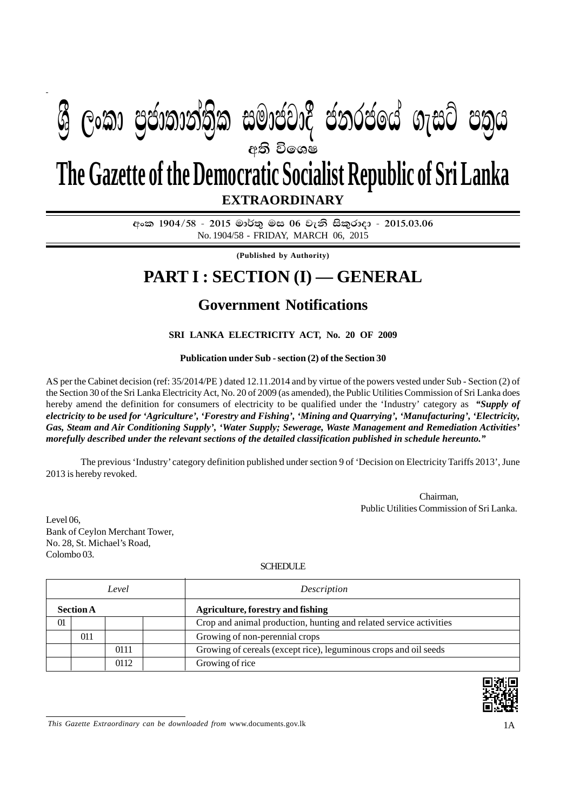## **අති වි**ගෙෂ **EXTRAORDINARY The Gazette of the Democratic Socialist Republic of Sri Lanka**  $\mathcal{P}(\mathcal{S}_{\mathcal{S}})$  , completed in manner complete  $\mathcal{S}_{\mathcal{S}}$

SCHEDULE *(contd.)*

අංක 1904/58 - 2015 මාර්තු මස 06 වැනි සිකුරාදා - 2015.03.06 No. 1904/58 - FRIDAY, MARCH 06, 2015

**(Published by Authority)**

## **PART I : SECTION (I) — GENERAL**

## **Government Notifications**

**SRI LANKA ELECTRICITY ACT, No. 20 OF 2009**

**Publication under Sub - section (2) of the Section 30**

AS per the Cabinet decision (ref: 35/2014/PE ) dated 12.11.2014 and by virtue of the powers vested under Sub - Section (2) of the Section 30 of the Sri Lanka Electricity Act, No. 20 of 2009 (as amended), the Public Utilities Commission of Sri Lanka does hereby amend the definition for consumers of electricity to be qualified under the 'Industry' category as *"Supply of electricity to be used for 'Agriculture', 'Forestry and Fishing', 'Mining and Quarrying', 'Manufacturing', 'Electricity, Gas, Steam and Air Conditioning Supply', 'Water Supply; Sewerage, Waste Management and Remediation Activities' morefully described under the relevant sections of the detailed classification published in schedule hereunto."*

The previous 'Industry' category definition published under section 9 of 'Decision on Electricity Tariffs 2013', June 2013 is hereby revoked.

> Chairman, Public Utilities Commission of Sri Lanka.

Level 06, Bank of Ceylon Merchant Tower, No. 28, St. Michael's Road, Colombo 03.

SCHEDULE.

|                  |     | Level | Description                                                        |
|------------------|-----|-------|--------------------------------------------------------------------|
| <b>Section A</b> |     |       | <b>Agriculture, forestry and fishing</b>                           |
| 01               |     |       | Crop and animal production, hunting and related service activities |
|                  | 011 |       | Growing of non-perennial crops                                     |
|                  |     | 0111  | Growing of cereals (except rice), leguminous crops and oil seeds   |
|                  |     | 0112  | Growing of rice                                                    |



*This Gazette Extraordinary can be downloaded from www.documents.gov.lk* 1A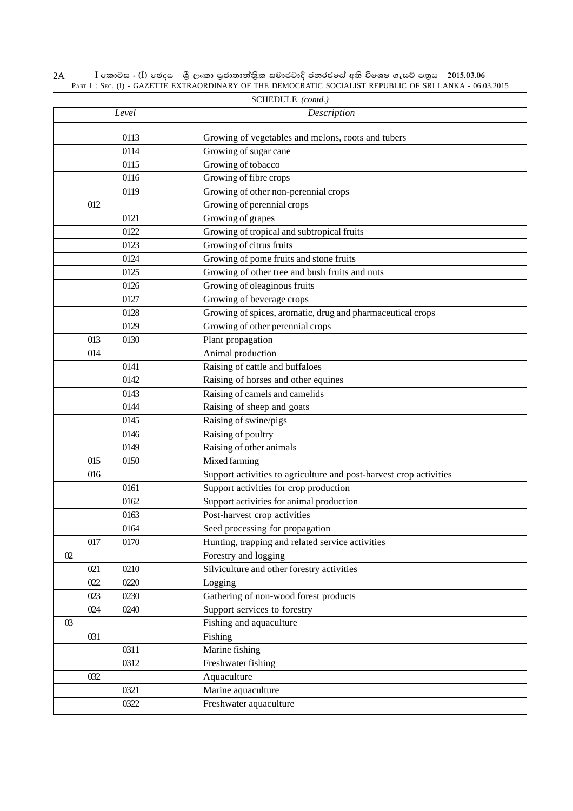|                       | SCHEDULE (contd.) |       |                                                                    |  |  |  |  |
|-----------------------|-------------------|-------|--------------------------------------------------------------------|--|--|--|--|
|                       |                   | Level | Description                                                        |  |  |  |  |
|                       |                   | 0113  | Growing of vegetables and melons, roots and tubers                 |  |  |  |  |
|                       |                   | 0114  | Growing of sugar cane                                              |  |  |  |  |
|                       |                   | 0115  | Growing of tobacco                                                 |  |  |  |  |
|                       |                   | 0116  | Growing of fibre crops                                             |  |  |  |  |
|                       |                   | 0119  | Growing of other non-perennial crops                               |  |  |  |  |
|                       | 012               |       | Growing of perennial crops                                         |  |  |  |  |
|                       |                   | 0121  | Growing of grapes                                                  |  |  |  |  |
|                       |                   | 0122  | Growing of tropical and subtropical fruits                         |  |  |  |  |
|                       |                   | 0123  | Growing of citrus fruits                                           |  |  |  |  |
|                       |                   | 0124  | Growing of pome fruits and stone fruits                            |  |  |  |  |
|                       |                   | 0125  | Growing of other tree and bush fruits and nuts                     |  |  |  |  |
|                       |                   | 0126  | Growing of oleaginous fruits                                       |  |  |  |  |
|                       |                   | 0127  | Growing of beverage crops                                          |  |  |  |  |
|                       |                   | 0128  | Growing of spices, aromatic, drug and pharmaceutical crops         |  |  |  |  |
|                       |                   | 0129  | Growing of other perennial crops                                   |  |  |  |  |
|                       | 013               | 0130  | Plant propagation                                                  |  |  |  |  |
|                       | 014               |       | Animal production                                                  |  |  |  |  |
|                       |                   | 0141  | Raising of cattle and buffaloes                                    |  |  |  |  |
|                       |                   | 0142  | Raising of horses and other equines                                |  |  |  |  |
|                       |                   | 0143  | Raising of camels and camelids                                     |  |  |  |  |
|                       |                   | 0144  | Raising of sheep and goats                                         |  |  |  |  |
|                       |                   | 0145  | Raising of swine/pigs                                              |  |  |  |  |
|                       |                   | 0146  | Raising of poultry                                                 |  |  |  |  |
|                       |                   | 0149  | Raising of other animals                                           |  |  |  |  |
|                       | 015               | 0150  | Mixed farming                                                      |  |  |  |  |
|                       | 016               |       | Support activities to agriculture and post-harvest crop activities |  |  |  |  |
|                       |                   | 0161  | Support activities for crop production                             |  |  |  |  |
|                       |                   | 0162  | Support activities for animal production                           |  |  |  |  |
|                       |                   | 0163  | Post-harvest crop activities                                       |  |  |  |  |
|                       |                   | 0164  | Seed processing for propagation                                    |  |  |  |  |
|                       | 017               | 0170  | Hunting, trapping and related service activities                   |  |  |  |  |
| $\Omega$              |                   |       | Forestry and logging                                               |  |  |  |  |
|                       | 021               | 0210  | Silviculture and other forestry activities                         |  |  |  |  |
|                       | 022               | 0220  | Logging                                                            |  |  |  |  |
|                       | 023               | 0230  | Gathering of non-wood forest products                              |  |  |  |  |
|                       | 024               | 0240  | Support services to forestry                                       |  |  |  |  |
| $\boldsymbol{\omega}$ |                   |       | Fishing and aquaculture                                            |  |  |  |  |
|                       | 031               |       | Fishing                                                            |  |  |  |  |
|                       |                   | 0311  | Marine fishing                                                     |  |  |  |  |
|                       |                   | 0312  | Freshwater fishing                                                 |  |  |  |  |
|                       | 032               |       | Aquaculture                                                        |  |  |  |  |
|                       |                   | 0321  | Marine aquaculture                                                 |  |  |  |  |
|                       |                   | 0322  | Freshwater aquaculture                                             |  |  |  |  |

 $\rm I$  කොටස : ( $\rm I$ ) ඡෙදය - ශුී ලංකා පුජාතාන්තිුක සමාජවාදී ජනරජයේ අති විශෙෂ ගැසට් පතුය - 2015.03.06 PART I : SEC. (I) - GAZETTE EXTRAORDINARY OF THE DEMOCRATIC SOCIALIST REPUBLIC OF SRI LANKA - 06.03.2015 2A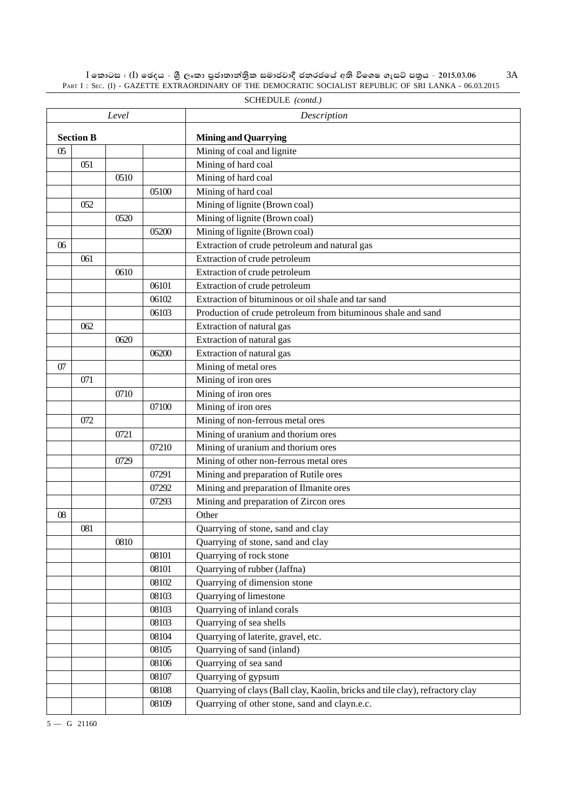$\rm I$  කොටස : ( $\rm I$ ) ඡෙදය - ශුී ලංකා පුජාතාන්තිුක සමාජවාදී ජනරජයේ අති විශෙෂ ගැසට් පතුය - 2015.03.06 PART I : SEC. (I) - GAZETTE EXTRAORDINARY OF THE DEMOCRATIC SOCIALIST REPUBLIC OF SRI LANKA - 06.03.2015 3A

|                       |                  | Level |       | Description                                                                   |
|-----------------------|------------------|-------|-------|-------------------------------------------------------------------------------|
|                       | <b>Section B</b> |       |       | <b>Mining and Quarrying</b>                                                   |
| $\boldsymbol{\omega}$ |                  |       |       | Mining of coal and lignite                                                    |
|                       | 051              |       |       | Mining of hard coal                                                           |
|                       |                  | 0510  |       | Mining of hard coal                                                           |
|                       |                  |       | 05100 | Mining of hard coal                                                           |
|                       | 052              |       |       | Mining of lignite (Brown coal)                                                |
|                       |                  | 0520  |       | Mining of lignite (Brown coal)                                                |
|                       |                  |       | 05200 | Mining of lignite (Brown coal)                                                |
| 06                    |                  |       |       | Extraction of crude petroleum and natural gas                                 |
|                       | 061              |       |       | Extraction of crude petroleum                                                 |
|                       |                  | 0610  |       | Extraction of crude petroleum                                                 |
|                       |                  |       | 06101 | Extraction of crude petroleum                                                 |
|                       |                  |       | 06102 | Extraction of bituminous or oil shale and tar sand                            |
|                       |                  |       | 06103 | Production of crude petroleum from bituminous shale and sand                  |
|                       | 062              |       |       | Extraction of natural gas                                                     |
|                       |                  | 0620  |       | Extraction of natural gas                                                     |
|                       |                  |       | 06200 | Extraction of natural gas                                                     |
| 07                    |                  |       |       | Mining of metal ores                                                          |
|                       | 071              |       |       | Mining of iron ores                                                           |
|                       |                  | 0710  |       | Mining of iron ores                                                           |
|                       |                  |       | 07100 | Mining of iron ores                                                           |
|                       | 072              |       |       | Mining of non-ferrous metal ores                                              |
|                       |                  | 0721  |       | Mining of uranium and thorium ores                                            |
|                       |                  |       | 07210 | Mining of uranium and thorium ores                                            |
|                       |                  | 0729  |       | Mining of other non-ferrous metal ores                                        |
|                       |                  |       | 07291 | Mining and preparation of Rutile ores                                         |
|                       |                  |       | 07292 | Mining and preparation of Ilmanite ores                                       |
|                       |                  |       | 07293 | Mining and preparation of Zircon ores                                         |
| 08                    |                  |       |       | Other                                                                         |
|                       | 081              |       |       | Quarrying of stone, sand and clay                                             |
|                       |                  | 0810  |       | Quarrying of stone, sand and clay                                             |
|                       |                  |       | 08101 | Quarrying of rock stone                                                       |
|                       |                  |       | 08101 | Quarrying of rubber (Jaffna)                                                  |
|                       |                  |       | 08102 | Quarrying of dimension stone                                                  |
|                       |                  |       | 08103 | Quarrying of limestone                                                        |
|                       |                  |       | 08103 | Quarrying of inland corals                                                    |
|                       |                  |       | 08103 | Quarrying of sea shells                                                       |
|                       |                  |       | 08104 | Quarrying of laterite, gravel, etc.                                           |
|                       |                  |       | 08105 | Quarrying of sand (inland)                                                    |
|                       |                  |       | 08106 | Quarrying of sea sand                                                         |
|                       |                  |       | 08107 | Quarrying of gypsum                                                           |
|                       |                  |       | 08108 | Quarrying of clays (Ball clay, Kaolin, bricks and tile clay), refractory clay |
|                       |                  |       | 08109 | Quarrying of other stone, sand and clayn.e.c.                                 |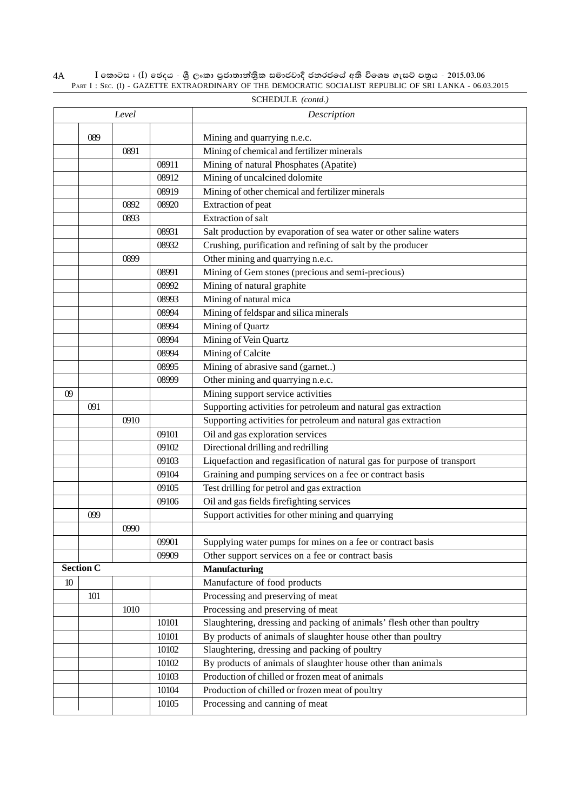$\rm I$  කොටස : ( $\rm I$ ) ඡෙදය - ශුී ලංකා පුජාතාන්තිුක සමාජවාදී ජනරජයේ අති විශෙෂ ගැසට් පතුය - 2015.03.06 PART I : SEC. (I) - GAZETTE EXTRAORDINARY OF THE DEMOCRATIC SOCIALIST REPUBLIC OF SRI LANKA - 06.03.2015 4A

|    | Level            |      |       | Description                                                             |
|----|------------------|------|-------|-------------------------------------------------------------------------|
|    |                  |      |       |                                                                         |
|    | 089              |      |       | Mining and quarrying n.e.c.                                             |
|    |                  | 0891 |       | Mining of chemical and fertilizer minerals                              |
|    |                  |      | 08911 | Mining of natural Phosphates (Apatite)                                  |
|    |                  |      | 08912 | Mining of uncalcined dolomite                                           |
|    |                  |      | 08919 | Mining of other chemical and fertilizer minerals                        |
|    |                  | 0892 | 08920 | Extraction of peat                                                      |
|    |                  | 0893 |       | <b>Extraction</b> of salt                                               |
|    |                  |      | 08931 | Salt production by evaporation of sea water or other saline waters      |
|    |                  |      | 08932 | Crushing, purification and refining of salt by the producer             |
|    |                  | 0899 |       | Other mining and quarrying n.e.c.                                       |
|    |                  |      | 08991 | Mining of Gem stones (precious and semi-precious)                       |
|    |                  |      | 08992 | Mining of natural graphite                                              |
|    |                  |      | 08993 | Mining of natural mica                                                  |
|    |                  |      | 08994 | Mining of feldspar and silica minerals                                  |
|    |                  |      | 08994 | Mining of Quartz                                                        |
|    |                  |      | 08994 | Mining of Vein Quartz                                                   |
|    |                  |      | 08994 | Mining of Calcite                                                       |
|    |                  |      | 08995 | Mining of abrasive sand (garnet)                                        |
|    |                  |      | 08999 | Other mining and quarrying n.e.c.                                       |
| 09 |                  |      |       | Mining support service activities                                       |
|    | 091              |      |       | Supporting activities for petroleum and natural gas extraction          |
|    |                  | 0910 |       | Supporting activities for petroleum and natural gas extraction          |
|    |                  |      | 09101 | Oil and gas exploration services                                        |
|    |                  |      | 09102 | Directional drilling and redrilling                                     |
|    |                  |      | 09103 | Liquefaction and regasification of natural gas for purpose of transport |
|    |                  |      | 09104 | Graining and pumping services on a fee or contract basis                |
|    |                  |      | 09105 | Test drilling for petrol and gas extraction                             |
|    |                  |      | 09106 | Oil and gas fields firefighting services                                |
|    | 099              |      |       | Support activities for other mining and quarrying                       |
|    |                  | 0990 |       |                                                                         |
|    |                  |      | 09901 | Supplying water pumps for mines on a fee or contract basis              |
|    |                  |      | 09909 | Other support services on a fee or contract basis                       |
|    | <b>Section C</b> |      |       | <b>Manufacturing</b>                                                    |
| 10 |                  |      |       | Manufacture of food products                                            |
|    | 101              |      |       | Processing and preserving of meat                                       |
|    |                  | 1010 |       | Processing and preserving of meat                                       |
|    |                  |      | 10101 | Slaughtering, dressing and packing of animals' flesh other than poultry |
|    |                  |      | 10101 | By products of animals of slaughter house other than poultry            |
|    |                  |      | 10102 | Slaughtering, dressing and packing of poultry                           |
|    |                  |      | 10102 | By products of animals of slaughter house other than animals            |
|    |                  |      | 10103 | Production of chilled or frozen meat of animals                         |
|    |                  |      | 10104 | Production of chilled or frozen meat of poultry                         |
|    |                  |      | 10105 | Processing and canning of meat                                          |
|    |                  |      |       |                                                                         |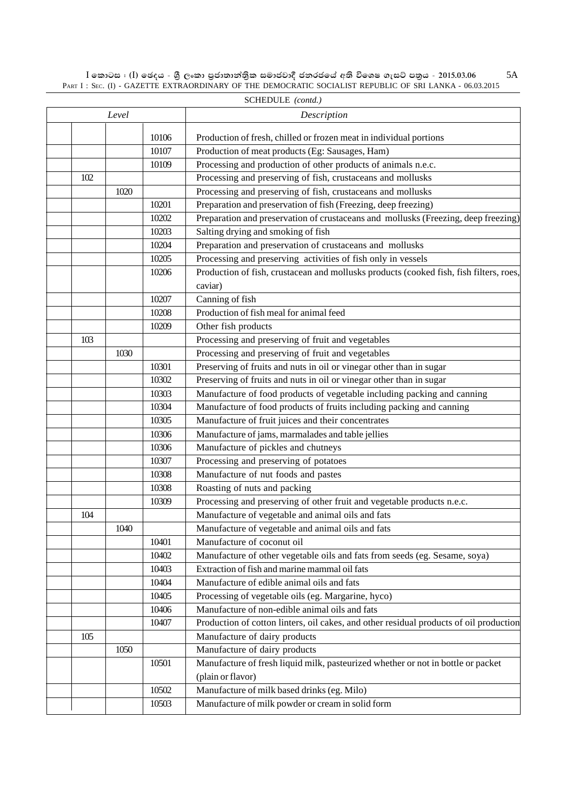$\rm I$  කොටස : ( $\rm I$ ) ඡෙදය - ශුී ලංකා පුජාතාන්තිුක සමාජවාදී ජනරජයේ අති විශෙෂ ගැසට් පතුය - 2015.03.06 PART I : SEC. (I) - GAZETTE EXTRAORDINARY OF THE DEMOCRATIC SOCIALIST REPUBLIC OF SRI LANKA - 06.03.2015 5A

| SCHEDULE ( <i>conta.)</i> |       |       |                                                                                        |  |  |
|---------------------------|-------|-------|----------------------------------------------------------------------------------------|--|--|
|                           | Level |       | Description                                                                            |  |  |
|                           |       | 10106 | Production of fresh, chilled or frozen meat in individual portions                     |  |  |
|                           |       | 10107 | Production of meat products (Eg: Sausages, Ham)                                        |  |  |
|                           |       | 10109 | Processing and production of other products of animals n.e.c.                          |  |  |
| 102                       |       |       | Processing and preserving of fish, crustaceans and mollusks                            |  |  |
|                           | 1020  |       | Processing and preserving of fish, crustaceans and mollusks                            |  |  |
|                           |       | 10201 | Preparation and preservation of fish (Freezing, deep freezing)                         |  |  |
|                           |       | 10202 | Preparation and preservation of crustaceans and mollusks (Freezing, deep freezing)     |  |  |
|                           |       | 10203 | Salting drying and smoking of fish                                                     |  |  |
|                           |       | 10204 | Preparation and preservation of crustaceans and mollusks                               |  |  |
|                           |       | 10205 | Processing and preserving activities of fish only in vessels                           |  |  |
|                           |       | 10206 | Production of fish, crustacean and mollusks products (cooked fish, fish filters, roes, |  |  |
|                           |       |       | caviar)                                                                                |  |  |
|                           |       | 10207 | Canning of fish                                                                        |  |  |
|                           |       | 10208 | Production of fish meal for animal feed                                                |  |  |
|                           |       | 10209 |                                                                                        |  |  |
|                           |       |       | Other fish products                                                                    |  |  |
| 103                       |       |       | Processing and preserving of fruit and vegetables                                      |  |  |
|                           | 1030  |       | Processing and preserving of fruit and vegetables                                      |  |  |
|                           |       | 10301 | Preserving of fruits and nuts in oil or vinegar other than in sugar                    |  |  |
|                           |       | 10302 | Preserving of fruits and nuts in oil or vinegar other than in sugar                    |  |  |
|                           |       | 10303 | Manufacture of food products of vegetable including packing and canning                |  |  |
|                           |       | 10304 | Manufacture of food products of fruits including packing and canning                   |  |  |
|                           |       | 10305 | Manufacture of fruit juices and their concentrates                                     |  |  |
|                           |       | 10306 | Manufacture of jams, marmalades and table jellies                                      |  |  |
|                           |       | 10306 | Manufacture of pickles and chutneys                                                    |  |  |
|                           |       | 10307 | Processing and preserving of potatoes                                                  |  |  |
|                           |       | 10308 | Manufacture of nut foods and pastes                                                    |  |  |
|                           |       | 10308 | Roasting of nuts and packing                                                           |  |  |
|                           |       | 10309 | Processing and preserving of other fruit and vegetable products n.e.c.                 |  |  |
| 104                       |       |       | Manufacture of vegetable and animal oils and fats                                      |  |  |
|                           | 1040  |       | Manufacture of vegetable and animal oils and fats                                      |  |  |
|                           |       | 10401 | Manufacture of coconut oil                                                             |  |  |
|                           |       | 10402 | Manufacture of other vegetable oils and fats from seeds (eg. Sesame, soya)             |  |  |
|                           |       | 10403 | Extraction of fish and marine mammal oil fats                                          |  |  |
|                           |       | 10404 | Manufacture of edible animal oils and fats                                             |  |  |
|                           |       | 10405 | Processing of vegetable oils (eg. Margarine, hyco)                                     |  |  |
|                           |       | 10406 | Manufacture of non-edible animal oils and fats                                         |  |  |
|                           |       | 10407 | Production of cotton linters, oil cakes, and other residual products of oil production |  |  |
| 105                       |       |       | Manufacture of dairy products                                                          |  |  |
|                           | 1050  |       | Manufacture of dairy products                                                          |  |  |
|                           |       | 10501 | Manufacture of fresh liquid milk, pasteurized whether or not in bottle or packet       |  |  |
|                           |       |       | (plain or flavor)                                                                      |  |  |
|                           |       | 10502 | Manufacture of milk based drinks (eg. Milo)                                            |  |  |
|                           |       | 10503 | Manufacture of milk powder or cream in solid form                                      |  |  |
|                           |       |       |                                                                                        |  |  |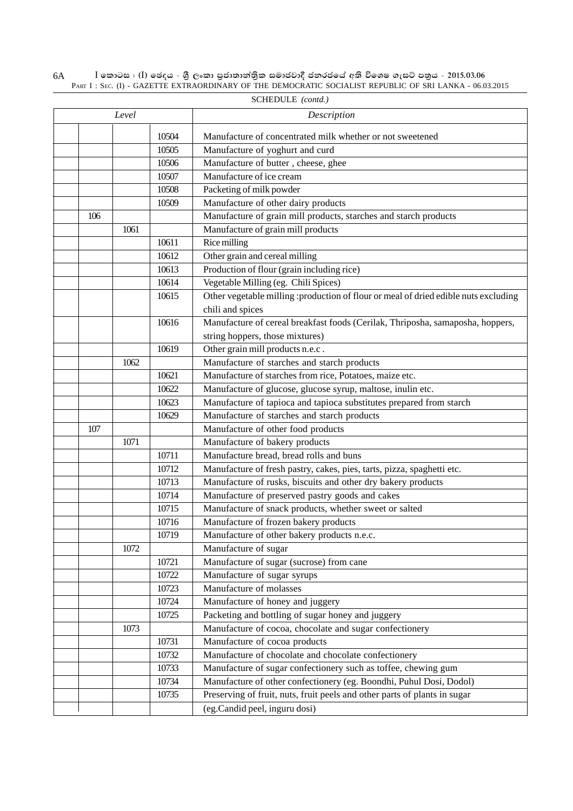$\rm I$  කොටස : ( $\rm I$ ) ඡෙදය - ශුී ලංකා පුජාතාන්තිුක සමාජවාදී ජනරජයේ අති විශෙෂ ගැසට් පතුය - 2015.03.06 PART I : SEC. (I) - GAZETTE EXTRAORDINARY OF THE DEMOCRATIC SOCIALIST REPUBLIC OF SRI LANKA - 06.03.2015 6A

|     | Level |       | Description                                                                         |
|-----|-------|-------|-------------------------------------------------------------------------------------|
|     |       | 10504 | Manufacture of concentrated milk whether or not sweetened                           |
|     |       | 10505 | Manufacture of yoghurt and curd                                                     |
|     |       | 10506 | Manufacture of butter, cheese, ghee                                                 |
|     |       | 10507 | Manufacture of ice cream                                                            |
|     |       | 10508 | Packeting of milk powder                                                            |
|     |       | 10509 | Manufacture of other dairy products                                                 |
| 106 |       |       | Manufacture of grain mill products, starches and starch products                    |
|     | 1061  |       | Manufacture of grain mill products                                                  |
|     |       | 10611 | Rice milling                                                                        |
|     |       | 10612 | Other grain and cereal milling                                                      |
|     |       | 10613 | Production of flour (grain including rice)                                          |
|     |       | 10614 | Vegetable Milling (eg. Chili Spices)                                                |
|     |       | 10615 | Other vegetable milling :production of flour or meal of dried edible nuts excluding |
|     |       |       | chili and spices                                                                    |
|     |       | 10616 | Manufacture of cereal breakfast foods (Cerilak, Thriposha, samaposha, hoppers,      |
|     |       |       | string hoppers, those mixtures)                                                     |
|     |       | 10619 | Other grain mill products n.e.c.                                                    |
|     | 1062  |       | Manufacture of starches and starch products                                         |
|     |       | 10621 | Manufacture of starches from rice, Potatoes, maize etc.                             |
|     |       | 10622 | Manufacture of glucose, glucose syrup, maltose, inulin etc.                         |
|     |       | 10623 | Manufacture of tapioca and tapioca substitutes prepared from starch                 |
|     |       | 10629 | Manufacture of starches and starch products                                         |
| 107 |       |       | Manufacture of other food products                                                  |
|     | 1071  |       | Manufacture of bakery products                                                      |
|     |       | 10711 | Manufacture bread, bread rolls and buns                                             |
|     |       | 10712 | Manufacture of fresh pastry, cakes, pies, tarts, pizza, spaghetti etc.              |
|     |       | 10713 | Manufacture of rusks, biscuits and other dry bakery products                        |
|     |       | 10714 | Manufacture of preserved pastry goods and cakes                                     |
|     |       | 10715 | Manufacture of snack products, whether sweet or salted                              |
|     |       | 10716 | Manufacture of frozen bakery products                                               |
|     |       | 10719 | Manufacture of other bakery products n.e.c.                                         |
|     | 1072  |       | Manufacture of sugar                                                                |
|     |       | 10721 | Manufacture of sugar (sucrose) from cane                                            |
|     |       | 10722 | Manufacture of sugar syrups                                                         |
|     |       | 10723 | Manufacture of molasses                                                             |
|     |       | 10724 | Manufacture of honey and juggery                                                    |
|     |       | 10725 | Packeting and bottling of sugar honey and juggery                                   |
|     | 1073  |       | Manufacture of cocoa, chocolate and sugar confectionery                             |
|     |       | 10731 | Manufacture of cocoa products                                                       |
|     |       | 10732 | Manufacture of chocolate and chocolate confectionery                                |
|     |       | 10733 | Manufacture of sugar confectionery such as toffee, chewing gum                      |
|     |       | 10734 | Manufacture of other confectionery (eg. Boondhi, Puhul Dosi, Dodol)                 |
|     |       | 10735 | Preserving of fruit, nuts, fruit peels and other parts of plants in sugar           |
|     |       |       | (eg.Candid peel, inguru dosi)                                                       |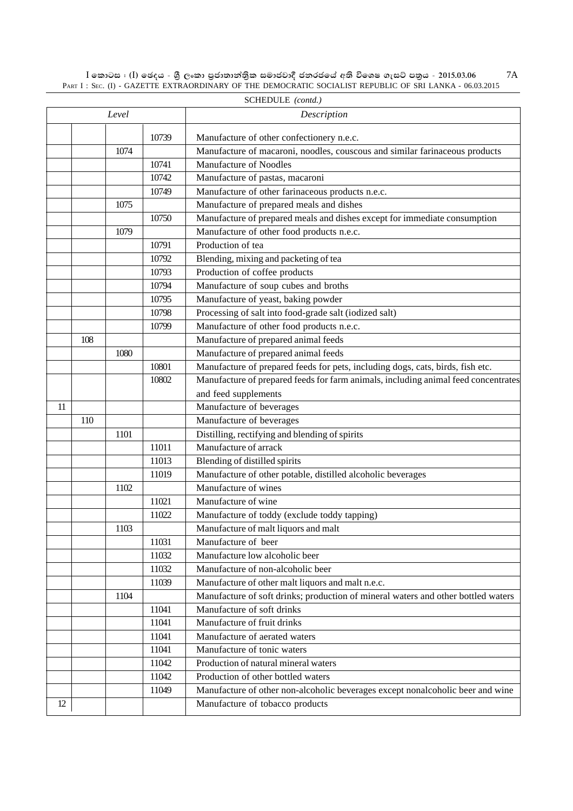$\rm I$  කොටස : ( $\rm I$ ) ඡෙදය - ශුී ලංකා පුජාතාන්තිුක සමාජවාදී ජනරජයේ අති විශෙෂ ගැසට් පතුය - 2015.03.06 PART I : SEC. (I) - GAZETTE EXTRAORDINARY OF THE DEMOCRATIC SOCIALIST REPUBLIC OF SRI LANKA - 06.03.2015 7A

|       | SCHEDULE (contd.) |      |       |                                                                                                                          |  |
|-------|-------------------|------|-------|--------------------------------------------------------------------------------------------------------------------------|--|
| Level |                   |      |       | Description                                                                                                              |  |
|       |                   |      | 10739 |                                                                                                                          |  |
|       |                   | 1074 |       | Manufacture of other confectionery n.e.c.<br>Manufacture of macaroni, noodles, couscous and similar farinaceous products |  |
|       |                   |      | 10741 | Manufacture of Noodles                                                                                                   |  |
|       |                   |      | 10742 | Manufacture of pastas, macaroni                                                                                          |  |
|       |                   |      |       | Manufacture of other farinaceous products n.e.c.                                                                         |  |
|       |                   |      | 10749 |                                                                                                                          |  |
|       |                   | 1075 |       | Manufacture of prepared meals and dishes                                                                                 |  |
|       |                   |      | 10750 | Manufacture of prepared meals and dishes except for immediate consumption                                                |  |
|       |                   | 1079 |       | Manufacture of other food products n.e.c.                                                                                |  |
|       |                   |      | 10791 | Production of tea                                                                                                        |  |
|       |                   |      | 10792 | Blending, mixing and packeting of tea                                                                                    |  |
|       |                   |      | 10793 | Production of coffee products                                                                                            |  |
|       |                   |      | 10794 | Manufacture of soup cubes and broths                                                                                     |  |
|       |                   |      | 10795 | Manufacture of yeast, baking powder                                                                                      |  |
|       |                   |      | 10798 | Processing of salt into food-grade salt (iodized salt)                                                                   |  |
|       |                   |      | 10799 | Manufacture of other food products n.e.c.                                                                                |  |
|       | 108               |      |       | Manufacture of prepared animal feeds                                                                                     |  |
|       |                   | 1080 |       | Manufacture of prepared animal feeds                                                                                     |  |
|       |                   |      | 10801 | Manufacture of prepared feeds for pets, including dogs, cats, birds, fish etc.                                           |  |
|       |                   |      | 10802 | Manufacture of prepared feeds for farm animals, including animal feed concentrates                                       |  |
|       |                   |      |       | and feed supplements                                                                                                     |  |
| 11    |                   |      |       | Manufacture of beverages                                                                                                 |  |
|       | 110               |      |       | Manufacture of beverages                                                                                                 |  |
|       |                   | 1101 |       | Distilling, rectifying and blending of spirits                                                                           |  |
|       |                   |      | 11011 | Manufacture of arrack                                                                                                    |  |
|       |                   |      | 11013 | Blending of distilled spirits                                                                                            |  |
|       |                   |      | 11019 | Manufacture of other potable, distilled alcoholic beverages                                                              |  |
|       |                   | 1102 |       | Manufacture of wines                                                                                                     |  |
|       |                   |      | 11021 | Manufacture of wine                                                                                                      |  |
|       |                   |      | 11022 | Manufacture of toddy (exclude toddy tapping)                                                                             |  |
|       |                   | 1103 |       | Manufacture of malt liquors and malt                                                                                     |  |
|       |                   |      | 11031 | Manufacture of beer                                                                                                      |  |
|       |                   |      | 11032 | Manufacture low alcoholic beer                                                                                           |  |
|       |                   |      | 11032 | Manufacture of non-alcoholic beer                                                                                        |  |
|       |                   |      | 11039 | Manufacture of other malt liquors and malt n.e.c.                                                                        |  |
|       |                   | 1104 |       | Manufacture of soft drinks; production of mineral waters and other bottled waters                                        |  |
|       |                   |      | 11041 | Manufacture of soft drinks                                                                                               |  |
|       |                   |      | 11041 | Manufacture of fruit drinks                                                                                              |  |
|       |                   |      | 11041 | Manufacture of aerated waters                                                                                            |  |
|       |                   |      | 11041 | Manufacture of tonic waters                                                                                              |  |
|       |                   |      | 11042 | Production of natural mineral waters                                                                                     |  |
|       |                   |      | 11042 | Production of other bottled waters                                                                                       |  |
|       |                   |      | 11049 | Manufacture of other non-alcoholic beverages except nonalcoholic beer and wine                                           |  |
| 12    |                   |      |       | Manufacture of tobacco products                                                                                          |  |
|       |                   |      |       |                                                                                                                          |  |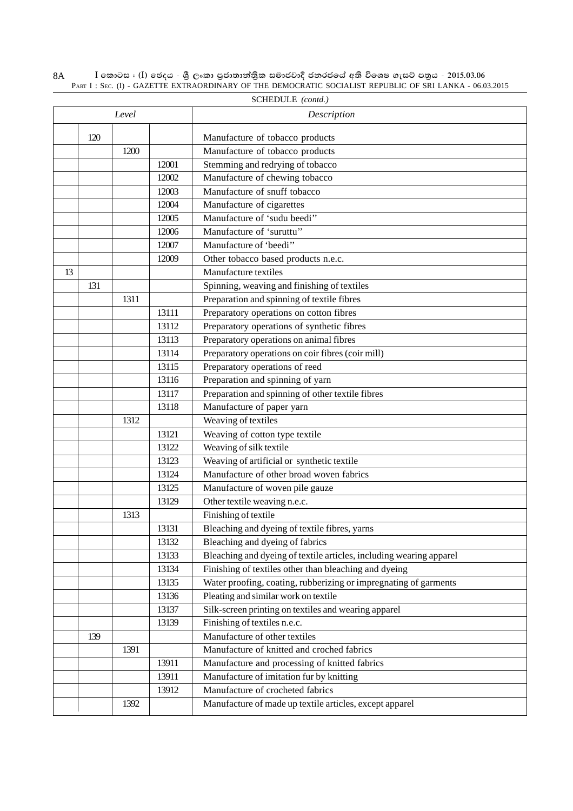|    | SCHEDULE (contd.) |       |       |                                                                                              |  |  |  |  |
|----|-------------------|-------|-------|----------------------------------------------------------------------------------------------|--|--|--|--|
|    |                   | Level |       | Description                                                                                  |  |  |  |  |
|    | 120               |       |       | Manufacture of tobacco products                                                              |  |  |  |  |
|    |                   | 1200  |       | Manufacture of tobacco products                                                              |  |  |  |  |
|    |                   |       | 12001 | Stemming and redrying of tobacco                                                             |  |  |  |  |
|    |                   |       | 12002 | Manufacture of chewing tobacco                                                               |  |  |  |  |
|    |                   |       | 12003 | Manufacture of snuff tobacco                                                                 |  |  |  |  |
|    |                   |       | 12004 | Manufacture of cigarettes                                                                    |  |  |  |  |
|    |                   |       | 12005 | Manufacture of 'sudu beedi''                                                                 |  |  |  |  |
|    |                   |       | 12006 | Manufacture of 'suruttu''                                                                    |  |  |  |  |
|    |                   |       | 12007 | Manufacture of 'beedi'                                                                       |  |  |  |  |
|    |                   |       | 12009 | Other tobacco based products n.e.c.                                                          |  |  |  |  |
| 13 |                   |       |       | Manufacture textiles                                                                         |  |  |  |  |
|    | 131               |       |       | Spinning, weaving and finishing of textiles                                                  |  |  |  |  |
|    |                   | 1311  |       | Preparation and spinning of textile fibres                                                   |  |  |  |  |
|    |                   |       | 13111 | Preparatory operations on cotton fibres                                                      |  |  |  |  |
|    |                   |       | 13112 | Preparatory operations of synthetic fibres                                                   |  |  |  |  |
|    |                   |       | 13113 |                                                                                              |  |  |  |  |
|    |                   |       | 13114 | Preparatory operations on animal fibres<br>Preparatory operations on coir fibres (coir mill) |  |  |  |  |
|    |                   |       |       |                                                                                              |  |  |  |  |
|    |                   |       | 13115 | Preparatory operations of reed                                                               |  |  |  |  |
|    |                   |       | 13116 | Preparation and spinning of yarn                                                             |  |  |  |  |
|    |                   |       | 13117 | Preparation and spinning of other textile fibres                                             |  |  |  |  |
|    |                   |       | 13118 | Manufacture of paper yarn                                                                    |  |  |  |  |
|    |                   | 1312  |       | Weaving of textiles                                                                          |  |  |  |  |
|    |                   |       | 13121 | Weaving of cotton type textile                                                               |  |  |  |  |
|    |                   |       | 13122 | Weaving of silk textile                                                                      |  |  |  |  |
|    |                   |       | 13123 | Weaving of artificial or synthetic textile                                                   |  |  |  |  |
|    |                   |       | 13124 | Manufacture of other broad woven fabrics                                                     |  |  |  |  |
|    |                   |       | 13125 | Manufacture of woven pile gauze                                                              |  |  |  |  |
|    |                   |       | 13129 | Other textile weaving n.e.c.                                                                 |  |  |  |  |
|    |                   | 1313  |       | Finishing of textile                                                                         |  |  |  |  |
|    |                   |       | 13131 | Bleaching and dyeing of textile fibres, yarns                                                |  |  |  |  |
|    |                   |       | 13132 | Bleaching and dyeing of fabrics                                                              |  |  |  |  |
|    |                   |       | 13133 | Bleaching and dyeing of textile articles, including wearing apparel                          |  |  |  |  |
|    |                   |       | 13134 | Finishing of textiles other than bleaching and dyeing                                        |  |  |  |  |
|    |                   |       | 13135 | Water proofing, coating, rubberizing or impregnating of garments                             |  |  |  |  |
|    |                   |       | 13136 | Pleating and similar work on textile                                                         |  |  |  |  |
|    |                   |       | 13137 | Silk-screen printing on textiles and wearing apparel                                         |  |  |  |  |
|    |                   |       | 13139 | Finishing of textiles n.e.c.                                                                 |  |  |  |  |
|    | 139               |       |       | Manufacture of other textiles                                                                |  |  |  |  |
|    |                   | 1391  |       | Manufacture of knitted and croched fabrics                                                   |  |  |  |  |
|    |                   |       | 13911 | Manufacture and processing of knitted fabrics                                                |  |  |  |  |
|    |                   |       | 13911 | Manufacture of imitation fur by knitting                                                     |  |  |  |  |
|    |                   |       | 13912 | Manufacture of crocheted fabrics                                                             |  |  |  |  |
|    |                   | 1392  |       | Manufacture of made up textile articles, except apparel                                      |  |  |  |  |

 $\rm I$  කොටස : ( $\rm I$ ) ඡෙදය - ශුී ලංකා පුජාතාන්තිුක සමාජවාදී ජනරජයේ අති විශෙෂ ගැසට් පතුය - 2015.03.06 PART I : SEC. (I) - GAZETTE EXTRAORDINARY OF THE DEMOCRATIC SOCIALIST REPUBLIC OF SRI LANKA - 06.03.2015 8A SCHEDULE *(contd.)*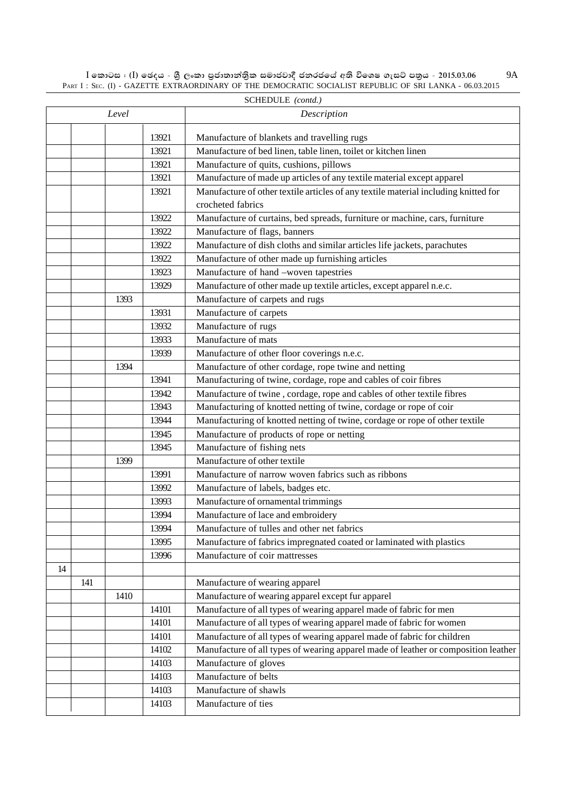$\rm I$  කොටස : ( $\rm I$ ) ඡෙදය - ශුී ලංකා පුජාතාන්තිුක සමාජවාදී ජනරජයේ අති විශෙෂ ගැසට් පතුය - 2015.03.06 PART I : SEC. (I) - GAZETTE EXTRAORDINARY OF THE DEMOCRATIC SOCIALIST REPUBLIC OF SRI LANKA - 06.03.2015 9A

|    | SCHEDULE (contd.) |       |       |                                                                                     |  |  |  |
|----|-------------------|-------|-------|-------------------------------------------------------------------------------------|--|--|--|
|    |                   | Level |       | Description                                                                         |  |  |  |
|    |                   |       | 13921 | Manufacture of blankets and travelling rugs                                         |  |  |  |
|    |                   |       | 13921 | Manufacture of bed linen, table linen, toilet or kitchen linen                      |  |  |  |
|    |                   |       | 13921 | Manufacture of quits, cushions, pillows                                             |  |  |  |
|    |                   |       | 13921 | Manufacture of made up articles of any textile material except apparel              |  |  |  |
|    |                   |       | 13921 | Manufacture of other textile articles of any textile material including knitted for |  |  |  |
|    |                   |       |       | crocheted fabrics                                                                   |  |  |  |
|    |                   |       | 13922 | Manufacture of curtains, bed spreads, furniture or machine, cars, furniture         |  |  |  |
|    |                   |       | 13922 | Manufacture of flags, banners                                                       |  |  |  |
|    |                   |       | 13922 | Manufacture of dish cloths and similar articles life jackets, parachutes            |  |  |  |
|    |                   |       | 13922 | Manufacture of other made up furnishing articles                                    |  |  |  |
|    |                   |       | 13923 | Manufacture of hand -woven tapestries                                               |  |  |  |
|    |                   |       | 13929 | Manufacture of other made up textile articles, except apparel n.e.c.                |  |  |  |
|    |                   | 1393  |       | Manufacture of carpets and rugs                                                     |  |  |  |
|    |                   |       | 13931 | Manufacture of carpets                                                              |  |  |  |
|    |                   |       | 13932 | Manufacture of rugs                                                                 |  |  |  |
|    |                   |       | 13933 | Manufacture of mats                                                                 |  |  |  |
|    |                   |       | 13939 | Manufacture of other floor coverings n.e.c.                                         |  |  |  |
|    |                   | 1394  |       | Manufacture of other cordage, rope twine and netting                                |  |  |  |
|    |                   |       | 13941 | Manufacturing of twine, cordage, rope and cables of coir fibres                     |  |  |  |
|    |                   |       | 13942 | Manufacture of twine, cordage, rope and cables of other textile fibres              |  |  |  |
|    |                   |       | 13943 | Manufacturing of knotted netting of twine, cordage or rope of coir                  |  |  |  |
|    |                   |       | 13944 | Manufacturing of knotted netting of twine, cordage or rope of other textile         |  |  |  |
|    |                   |       | 13945 | Manufacture of products of rope or netting                                          |  |  |  |
|    |                   |       | 13945 | Manufacture of fishing nets                                                         |  |  |  |
|    |                   | 1399  |       | Manufacture of other textile                                                        |  |  |  |
|    |                   |       | 13991 | Manufacture of narrow woven fabrics such as ribbons                                 |  |  |  |
|    |                   |       | 13992 | Manufacture of labels, badges etc.                                                  |  |  |  |
|    |                   |       | 13993 | Manufacture of ornamental trimmings                                                 |  |  |  |
|    |                   |       | 13994 | Manufacture of lace and embroidery                                                  |  |  |  |
|    |                   |       | 13994 | Manufacture of tulles and other net fabrics                                         |  |  |  |
|    |                   |       | 13995 | Manufacture of fabrics impregnated coated or laminated with plastics                |  |  |  |
|    |                   |       | 13996 | Manufacture of coir mattresses                                                      |  |  |  |
| 14 |                   |       |       |                                                                                     |  |  |  |
|    | 141               |       |       | Manufacture of wearing apparel                                                      |  |  |  |
|    |                   | 1410  |       | Manufacture of wearing apparel except fur apparel                                   |  |  |  |
|    |                   |       | 14101 | Manufacture of all types of wearing apparel made of fabric for men                  |  |  |  |
|    |                   |       | 14101 | Manufacture of all types of wearing apparel made of fabric for women                |  |  |  |
|    |                   |       | 14101 | Manufacture of all types of wearing apparel made of fabric for children             |  |  |  |
|    |                   |       | 14102 | Manufacture of all types of wearing apparel made of leather or composition leather  |  |  |  |
|    |                   |       | 14103 | Manufacture of gloves                                                               |  |  |  |
|    |                   |       | 14103 | Manufacture of belts                                                                |  |  |  |
|    |                   |       | 14103 | Manufacture of shawls                                                               |  |  |  |
|    |                   |       | 14103 | Manufacture of ties                                                                 |  |  |  |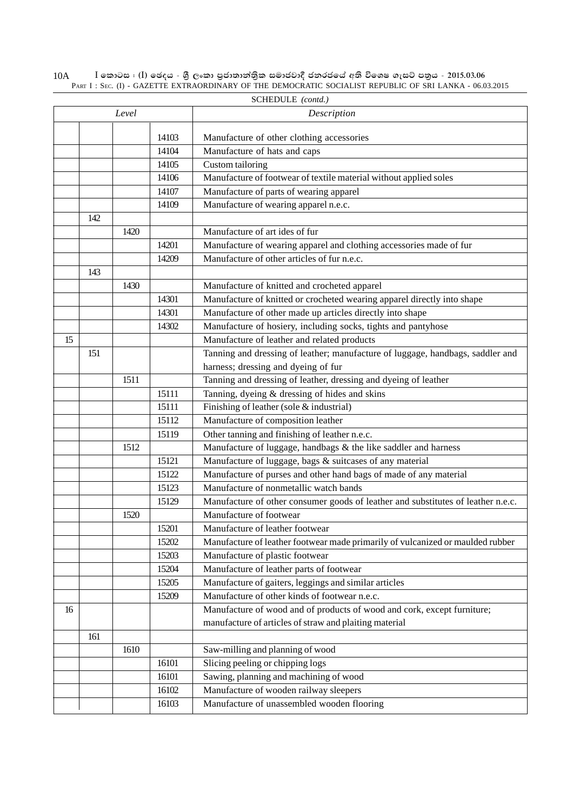|    | SCHEDULE (contd.) |       |       |                                                                                  |  |  |  |
|----|-------------------|-------|-------|----------------------------------------------------------------------------------|--|--|--|
|    |                   | Level |       | Description                                                                      |  |  |  |
|    |                   |       | 14103 | Manufacture of other clothing accessories                                        |  |  |  |
|    |                   |       | 14104 | Manufacture of hats and caps                                                     |  |  |  |
|    |                   |       | 14105 |                                                                                  |  |  |  |
|    |                   |       |       | Custom tailoring                                                                 |  |  |  |
|    |                   |       | 14106 | Manufacture of footwear of textile material without applied soles                |  |  |  |
|    |                   |       | 14107 | Manufacture of parts of wearing apparel                                          |  |  |  |
|    |                   |       | 14109 | Manufacture of wearing apparel n.e.c.                                            |  |  |  |
|    | 142               |       |       |                                                                                  |  |  |  |
|    |                   | 1420  |       | Manufacture of art ides of fur                                                   |  |  |  |
|    |                   |       | 14201 | Manufacture of wearing apparel and clothing accessories made of fur              |  |  |  |
|    |                   |       | 14209 | Manufacture of other articles of fur n.e.c.                                      |  |  |  |
|    | 143               |       |       |                                                                                  |  |  |  |
|    |                   | 1430  |       | Manufacture of knitted and crocheted apparel                                     |  |  |  |
|    |                   |       | 14301 | Manufacture of knitted or crocheted wearing apparel directly into shape          |  |  |  |
|    |                   |       | 14301 | Manufacture of other made up articles directly into shape                        |  |  |  |
|    |                   |       | 14302 | Manufacture of hosiery, including socks, tights and pantyhose                    |  |  |  |
| 15 |                   |       |       | Manufacture of leather and related products                                      |  |  |  |
|    | 151               |       |       | Tanning and dressing of leather; manufacture of luggage, handbags, saddler and   |  |  |  |
|    |                   |       |       | harness; dressing and dyeing of fur                                              |  |  |  |
|    |                   | 1511  |       | Tanning and dressing of leather, dressing and dyeing of leather                  |  |  |  |
|    |                   |       | 15111 | Tanning, dyeing & dressing of hides and skins                                    |  |  |  |
|    |                   |       | 15111 | Finishing of leather (sole & industrial)                                         |  |  |  |
|    |                   |       | 15112 | Manufacture of composition leather                                               |  |  |  |
|    |                   |       | 15119 | Other tanning and finishing of leather n.e.c.                                    |  |  |  |
|    |                   | 1512  |       | Manufacture of luggage, handbags & the like saddler and harness                  |  |  |  |
|    |                   |       | 15121 | Manufacture of luggage, bags & suitcases of any material                         |  |  |  |
|    |                   |       | 15122 | Manufacture of purses and other hand bags of made of any material                |  |  |  |
|    |                   |       | 15123 | Manufacture of nonmetallic watch bands                                           |  |  |  |
|    |                   |       | 15129 | Manufacture of other consumer goods of leather and substitutes of leather n.e.c. |  |  |  |
|    |                   | 1520  |       | Manufacture of footwear                                                          |  |  |  |
|    |                   |       | 15201 | Manufacture of leather footwear                                                  |  |  |  |
|    |                   |       | 15202 | Manufacture of leather footwear made primarily of vulcanized or maulded rubber   |  |  |  |
|    |                   |       | 15203 | Manufacture of plastic footwear                                                  |  |  |  |
|    |                   |       |       |                                                                                  |  |  |  |
|    |                   |       | 15204 | Manufacture of leather parts of footwear                                         |  |  |  |
|    |                   |       | 15205 | Manufacture of gaiters, leggings and similar articles                            |  |  |  |
|    |                   |       | 15209 | Manufacture of other kinds of footwear n.e.c.                                    |  |  |  |
| 16 |                   |       |       | Manufacture of wood and of products of wood and cork, except furniture;          |  |  |  |
|    |                   |       |       | manufacture of articles of straw and plaiting material                           |  |  |  |
|    | 161               |       |       |                                                                                  |  |  |  |
|    |                   | 1610  |       | Saw-milling and planning of wood                                                 |  |  |  |
|    |                   |       | 16101 | Slicing peeling or chipping logs                                                 |  |  |  |
|    |                   |       | 16101 | Sawing, planning and machining of wood                                           |  |  |  |
|    |                   |       | 16102 | Manufacture of wooden railway sleepers                                           |  |  |  |
|    |                   |       | 16103 | Manufacture of unassembled wooden flooring                                       |  |  |  |

 $\rm I$  කොටස : ( $\rm I$ ) ඡෙදය - ශුී ලංකා පුජාතාන්තිුක සමාජවාදී ජනරජයේ අති විශෙෂ ගැසට් පතුය - 2015.03.06 PART I : SEC. (I) - GAZETTE EXTRAORDINARY OF THE DEMOCRATIC SOCIALIST REPUBLIC OF SRI LANKA - 06.03.2015 10A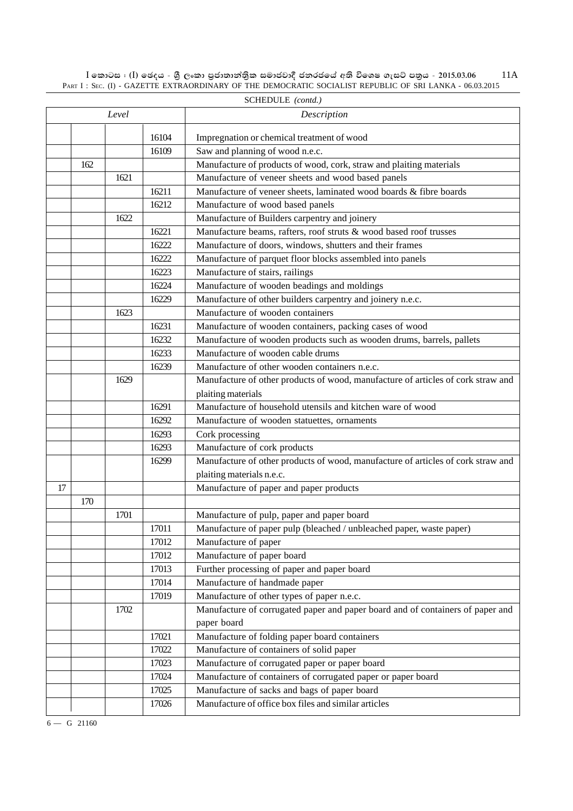$\rm I$  කොටස : ( $\rm I$ ) ඡෙදය - ශුී ලංකා පුජාතාන්තිුක සමාජවාදී ජනරජයේ අති විශෙෂ ගැසට් පතුය - 2015.03.06 PART I : SEC. (I) - GAZETTE EXTRAORDINARY OF THE DEMOCRATIC SOCIALIST REPUBLIC OF SRI LANKA - 06.03.2015 11A

|    | SCHEDULE (contd.) |       |       |                                                                                                            |  |  |  |
|----|-------------------|-------|-------|------------------------------------------------------------------------------------------------------------|--|--|--|
|    |                   | Level |       | Description                                                                                                |  |  |  |
|    |                   |       | 16104 | Impregnation or chemical treatment of wood                                                                 |  |  |  |
|    |                   |       | 16109 | Saw and planning of wood n.e.c.                                                                            |  |  |  |
|    | 162               |       |       | Manufacture of products of wood, cork, straw and plaiting materials                                        |  |  |  |
|    |                   | 1621  |       | Manufacture of veneer sheets and wood based panels                                                         |  |  |  |
|    |                   |       | 16211 | Manufacture of veneer sheets, laminated wood boards & fibre boards                                         |  |  |  |
|    |                   |       | 16212 | Manufacture of wood based panels                                                                           |  |  |  |
|    |                   | 1622  |       | Manufacture of Builders carpentry and joinery                                                              |  |  |  |
|    |                   |       | 16221 | Manufacture beams, rafters, roof struts & wood based roof trusses                                          |  |  |  |
|    |                   |       | 16222 | Manufacture of doors, windows, shutters and their frames                                                   |  |  |  |
|    |                   |       | 16222 | Manufacture of parquet floor blocks assembled into panels                                                  |  |  |  |
|    |                   |       | 16223 | Manufacture of stairs, railings                                                                            |  |  |  |
|    |                   |       | 16224 | Manufacture of wooden beadings and moldings                                                                |  |  |  |
|    |                   |       | 16229 | Manufacture of other builders carpentry and joinery n.e.c.                                                 |  |  |  |
|    |                   | 1623  |       | Manufacture of wooden containers                                                                           |  |  |  |
|    |                   |       | 16231 | Manufacture of wooden containers, packing cases of wood                                                    |  |  |  |
|    |                   |       | 16232 |                                                                                                            |  |  |  |
|    |                   |       | 16233 | Manufacture of wooden products such as wooden drums, barrels, pallets<br>Manufacture of wooden cable drums |  |  |  |
|    |                   |       | 16239 | Manufacture of other wooden containers n.e.c.                                                              |  |  |  |
|    |                   |       |       |                                                                                                            |  |  |  |
|    |                   | 1629  |       | Manufacture of other products of wood, manufacture of articles of cork straw and                           |  |  |  |
|    |                   |       |       | plaiting materials                                                                                         |  |  |  |
|    |                   |       | 16291 | Manufacture of household utensils and kitchen ware of wood                                                 |  |  |  |
|    |                   |       | 16292 | Manufacture of wooden statuettes, ornaments                                                                |  |  |  |
|    |                   |       | 16293 | Cork processing                                                                                            |  |  |  |
|    |                   |       | 16293 | Manufacture of cork products                                                                               |  |  |  |
|    |                   |       | 16299 | Manufacture of other products of wood, manufacture of articles of cork straw and                           |  |  |  |
|    |                   |       |       | plaiting materials n.e.c.                                                                                  |  |  |  |
| 17 |                   |       |       | Manufacture of paper and paper products                                                                    |  |  |  |
|    | 170               |       |       |                                                                                                            |  |  |  |
|    |                   | 1701  |       | Manufacture of pulp, paper and paper board                                                                 |  |  |  |
|    |                   |       | 17011 | Manufacture of paper pulp (bleached / unbleached paper, waste paper)                                       |  |  |  |
|    |                   |       | 17012 | Manufacture of paper                                                                                       |  |  |  |
|    |                   |       | 17012 | Manufacture of paper board                                                                                 |  |  |  |
|    |                   |       | 17013 | Further processing of paper and paper board                                                                |  |  |  |
|    |                   |       | 17014 | Manufacture of handmade paper                                                                              |  |  |  |
|    |                   |       | 17019 | Manufacture of other types of paper n.e.c.                                                                 |  |  |  |
|    |                   | 1702  |       | Manufacture of corrugated paper and paper board and of containers of paper and                             |  |  |  |
|    |                   |       |       | paper board                                                                                                |  |  |  |
|    |                   |       | 17021 | Manufacture of folding paper board containers                                                              |  |  |  |
|    |                   |       | 17022 | Manufacture of containers of solid paper                                                                   |  |  |  |
|    |                   |       | 17023 | Manufacture of corrugated paper or paper board                                                             |  |  |  |
|    |                   |       | 17024 | Manufacture of containers of corrugated paper or paper board                                               |  |  |  |
|    |                   |       | 17025 | Manufacture of sacks and bags of paper board                                                               |  |  |  |
|    |                   |       | 17026 | Manufacture of office box files and similar articles                                                       |  |  |  |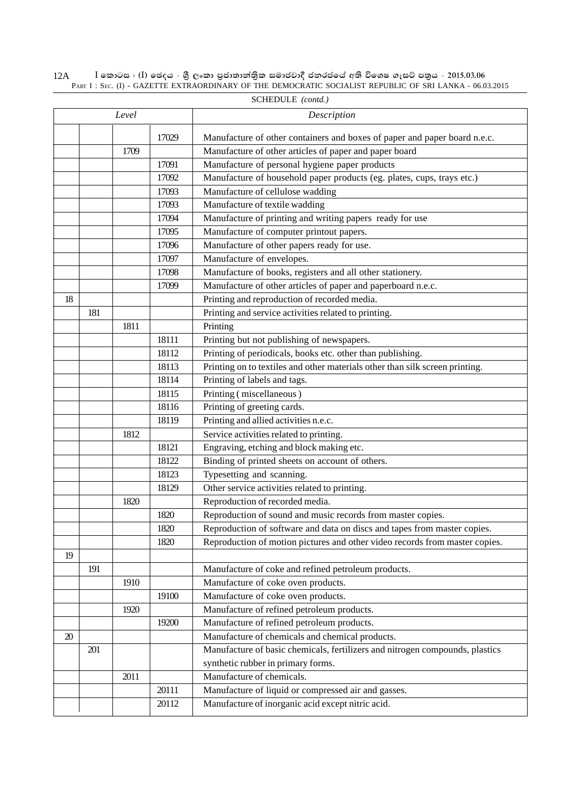$\rm I$  කොටස : ( $\rm I$ ) ඡෙදය - ශුී ලංකා පුජාතාන්තිුක සමාජවාදී ජනරජයේ අති විශෙෂ ගැසට් පතුය - 2015.03.06 PART I : SEC. (I) - GAZETTE EXTRAORDINARY OF THE DEMOCRATIC SOCIALIST REPUBLIC OF SRI LANKA - 06.03.2015 12A

|    | Level |      |       | Description                                                                  |
|----|-------|------|-------|------------------------------------------------------------------------------|
|    |       |      | 17029 | Manufacture of other containers and boxes of paper and paper board n.e.c.    |
|    |       | 1709 |       | Manufacture of other articles of paper and paper board                       |
|    |       |      | 17091 | Manufacture of personal hygiene paper products                               |
|    |       |      | 17092 | Manufacture of household paper products (eg. plates, cups, trays etc.)       |
|    |       |      | 17093 | Manufacture of cellulose wadding                                             |
|    |       |      | 17093 | Manufacture of textile wadding                                               |
|    |       |      | 17094 | Manufacture of printing and writing papers ready for use                     |
|    |       |      | 17095 | Manufacture of computer printout papers.                                     |
|    |       |      | 17096 | Manufacture of other papers ready for use.                                   |
|    |       |      | 17097 | Manufacture of envelopes.                                                    |
|    |       |      | 17098 | Manufacture of books, registers and all other stationery.                    |
|    |       |      | 17099 | Manufacture of other articles of paper and paperboard n.e.c.                 |
| 18 |       |      |       | Printing and reproduction of recorded media.                                 |
|    | 181   |      |       | Printing and service activities related to printing.                         |
|    |       | 1811 |       | Printing                                                                     |
|    |       |      | 18111 | Printing but not publishing of newspapers.                                   |
|    |       |      | 18112 | Printing of periodicals, books etc. other than publishing.                   |
|    |       |      | 18113 | Printing on to textiles and other materials other than silk screen printing. |
|    |       |      | 18114 | Printing of labels and tags.                                                 |
|    |       |      | 18115 | Printing (miscellaneous)                                                     |
|    |       |      | 18116 | Printing of greeting cards.                                                  |
|    |       |      | 18119 | Printing and allied activities n.e.c.                                        |
|    |       | 1812 |       | Service activities related to printing.                                      |
|    |       |      | 18121 | Engraving, etching and block making etc.                                     |
|    |       |      | 18122 | Binding of printed sheets on account of others.                              |
|    |       |      | 18123 | Typesetting and scanning.                                                    |
|    |       |      | 18129 | Other service activities related to printing.                                |
|    |       | 1820 |       | Reproduction of recorded media.                                              |
|    |       |      | 1820  | Reproduction of sound and music records from master copies.                  |
|    |       |      | 1820  | Reproduction of software and data on discs and tapes from master copies.     |
|    |       |      | 1820  | Reproduction of motion pictures and other video records from master copies.  |
| 19 |       |      |       |                                                                              |
|    | 191   |      |       | Manufacture of coke and refined petroleum products.                          |
|    |       | 1910 |       | Manufacture of coke oven products.                                           |
|    |       |      | 19100 | Manufacture of coke oven products.                                           |
|    |       | 1920 |       | Manufacture of refined petroleum products.                                   |
|    |       |      | 19200 | Manufacture of refined petroleum products.                                   |
| 20 |       |      |       | Manufacture of chemicals and chemical products.                              |
|    | 201   |      |       | Manufacture of basic chemicals, fertilizers and nitrogen compounds, plastics |
|    |       |      |       | synthetic rubber in primary forms.                                           |
|    |       | 2011 |       | Manufacture of chemicals.                                                    |
|    |       |      | 20111 | Manufacture of liquid or compressed air and gasses.                          |
|    |       |      | 20112 | Manufacture of inorganic acid except nitric acid.                            |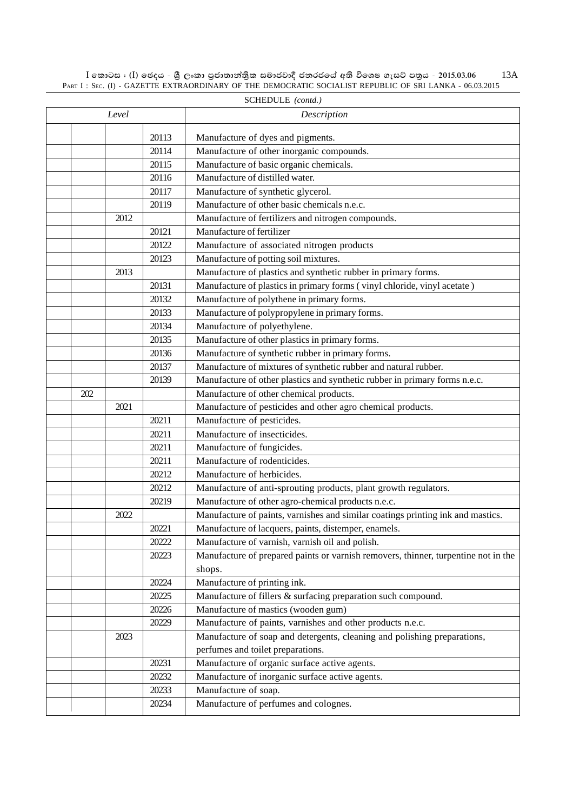SCHEDULE *(contd.)* 20113 Manufacture of dyes and pigments. 20114 Manufacture of other inorganic compounds. 20115 Manufacture of basic organic chemicals. 20116 Manufacture of distilled water. 20117 | Manufacture of synthetic glycerol. 20119 Manufacture of other basic chemicals n.e.c. 2012 | Manufacture of fertilizers and nitrogen compounds. 20121 | Manufacture of fertilizer 20122 | Manufacture of associated nitrogen products 20123 Manufacture of potting soil mixtures. 2013 Manufacture of plastics and synthetic rubber in primary forms. 20131 | Manufacture of plastics in primary forms (vinyl chloride, vinyl acetate) 20132 Manufacture of polythene in primary forms. 20133 Manufacture of polypropylene in primary forms. 20134 Manufacture of polyethylene. 20135 Manufacture of other plastics in primary forms. 20136 Manufacture of synthetic rubber in primary forms. 20137 Manufacture of mixtures of synthetic rubber and natural rubber. 20139 Manufacture of other plastics and synthetic rubber in primary forms n.e.c. 202 | Manufacture of other chemical products. 2021 Manufacture of pesticides and other agro chemical products. 20211 Manufacture of pesticides. 20211 | Manufacture of insecticides. 20211 Manufacture of fungicides. 20211 Manufacture of rodenticides. 20212 Manufacture of herbicides. 20212 | Manufacture of anti-sprouting products, plant growth regulators. 20219 Manufacture of other agro-chemical products n.e.c. 2022 Manufacture of paints, varnishes and similar coatings printing ink and mastics. 20221 | Manufacture of lacquers, paints, distemper, enamels. 20222 Manufacture of varnish, varnish oil and polish. 20223 Manufacture of prepared paints or varnish removers, thinner, turpentine not in the shops. 20224 Manufacture of printing ink. 20225 Manufacture of fillers & surfacing preparation such compound. 20226 Manufacture of mastics (wooden gum) 20229 Manufacture of paints, varnishes and other products n.e.c. 2023 Manufacture of soap and detergents, cleaning and polishing preparations, perfumes and toilet preparations. 20231 Manufacture of organic surface active agents. 20232 Manufacture of inorganic surface active agents. 20233 Manufacture of soap. 20234 Manufacture of perfumes and colognes. *Level Description*

 $I$  කොටස : (I) ඡෙදය - ශීූ ලංකා පුජාතාන්තිුක සමාජවාදී ජනරජයේ අති විශෙෂ ගැසට් පනුය - 2015.03.06 PART I: SEC. (I) - GAZETTE EXTRAORDINARY OF THE DEMOCRATIC SOCIALIST REPUBLIC OF SRI LANKA - 06.03.2015

13A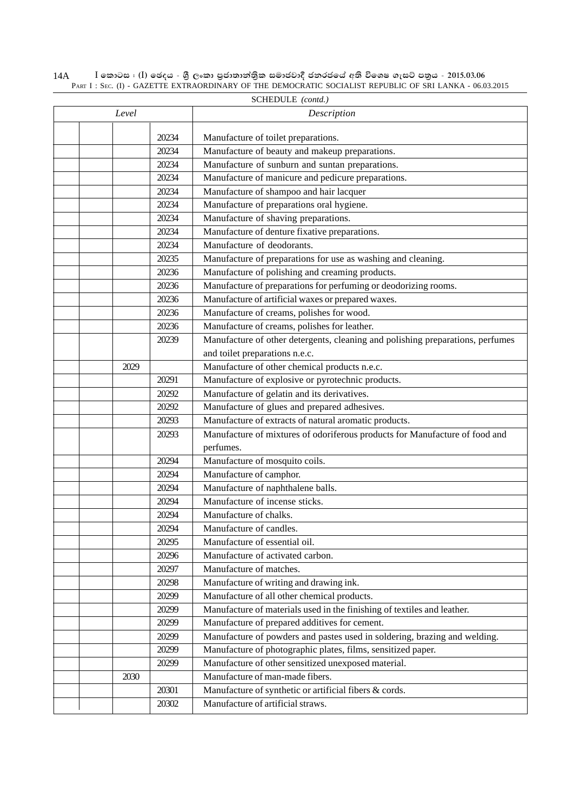| 14A |  |  |  |  | I කොටස : (I) ඡෙදය - ශුී ලංකා පුජාතාන්තිුක සමාජවාදී ජනරජයේ අති විශෙෂ ගැසට් පතුය - 2015.03.06             |  |
|-----|--|--|--|--|---------------------------------------------------------------------------------------------------------|--|
|     |  |  |  |  | PART I: SEC. (I) - GAZETTE EXTRAORDINARY OF THE DEMOCRATIC SOCIALIST REPUBLIC OF SRI LANKA - 06.03.2015 |  |

|       |       | SCHEDULE (contd.)                                                                                     |
|-------|-------|-------------------------------------------------------------------------------------------------------|
| Level |       | Description                                                                                           |
|       | 20234 | Manufacture of toilet preparations.                                                                   |
|       | 20234 | Manufacture of beauty and makeup preparations.                                                        |
|       | 20234 |                                                                                                       |
|       | 20234 | Manufacture of sunburn and suntan preparations.<br>Manufacture of manicure and pedicure preparations. |
|       |       |                                                                                                       |
|       | 20234 | Manufacture of shampoo and hair lacquer                                                               |
|       | 20234 | Manufacture of preparations oral hygiene.                                                             |
|       | 20234 | Manufacture of shaving preparations.                                                                  |
|       | 20234 | Manufacture of denture fixative preparations.                                                         |
|       | 20234 | Manufacture of deodorants.                                                                            |
|       | 20235 | Manufacture of preparations for use as washing and cleaning.                                          |
|       | 20236 | Manufacture of polishing and creaming products.                                                       |
|       | 20236 | Manufacture of preparations for perfuming or deodorizing rooms.                                       |
|       | 20236 | Manufacture of artificial waxes or prepared waxes.                                                    |
|       | 20236 | Manufacture of creams, polishes for wood.                                                             |
|       | 20236 | Manufacture of creams, polishes for leather.                                                          |
|       | 20239 | Manufacture of other detergents, cleaning and polishing preparations, perfumes                        |
|       |       | and toilet preparations n.e.c.                                                                        |
| 2029  |       | Manufacture of other chemical products n.e.c.                                                         |
|       | 20291 | Manufacture of explosive or pyrotechnic products.                                                     |
|       | 20292 | Manufacture of gelatin and its derivatives.                                                           |
|       | 20292 | Manufacture of glues and prepared adhesives.                                                          |
|       | 20293 | Manufacture of extracts of natural aromatic products.                                                 |
|       | 20293 | Manufacture of mixtures of odoriferous products for Manufacture of food and                           |
|       |       | perfumes.                                                                                             |
|       | 20294 | Manufacture of mosquito coils.                                                                        |
|       | 20294 | Manufacture of camphor.                                                                               |
|       | 20294 | Manufacture of naphthalene balls.                                                                     |
|       | 20294 | Manufacture of incense sticks.                                                                        |
|       | 20294 | Manufacture of chalks.                                                                                |
|       | 20294 | Manufacture of candles.                                                                               |
|       | 20295 | Manufacture of essential oil.                                                                         |
|       | 20296 | Manufacture of activated carbon.                                                                      |
|       | 20297 | Manufacture of matches.                                                                               |
|       | 20298 | Manufacture of writing and drawing ink.                                                               |
|       | 20299 | Manufacture of all other chemical products.                                                           |
|       | 20299 | Manufacture of materials used in the finishing of textiles and leather.                               |
|       | 20299 | Manufacture of prepared additives for cement.                                                         |
|       | 20299 | Manufacture of powders and pastes used in soldering, brazing and welding.                             |
|       | 20299 | Manufacture of photographic plates, films, sensitized paper.                                          |
|       | 20299 | Manufacture of other sensitized unexposed material.                                                   |
| 2030  |       | Manufacture of man-made fibers.                                                                       |
|       | 20301 | Manufacture of synthetic or artificial fibers & cords.                                                |
|       | 20302 | Manufacture of artificial straws.                                                                     |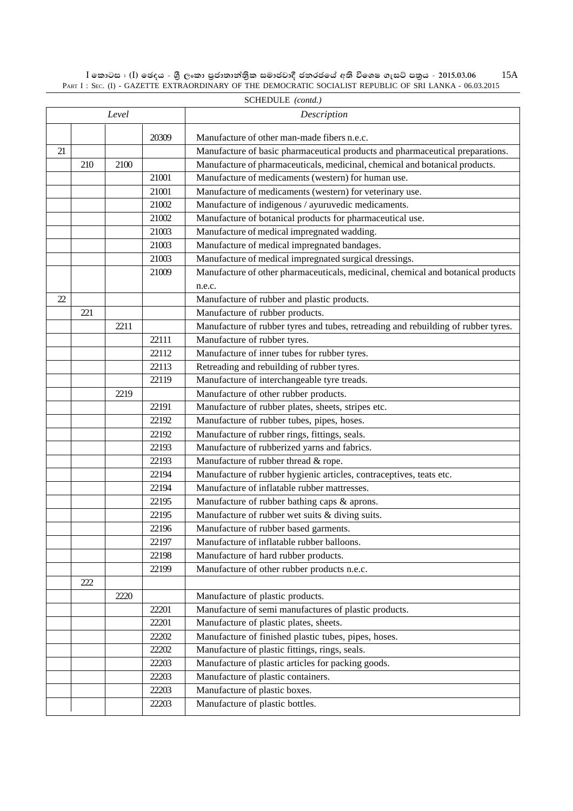$\rm I$  කොටස : ( $\rm I$ ) ඡෙදය - ශුී ලංකා පුජාතාන්තිුක සමාජවාදී ජනරජයේ අති විශෙෂ ගැසට් පතුය - 2015.03.06 PART I : SEC. (I) - GAZETTE EXTRAORDINARY OF THE DEMOCRATIC SOCIALIST REPUBLIC OF SRI LANKA - 06.03.2015 15A

|    |     | Level |       | Description                                                                       |
|----|-----|-------|-------|-----------------------------------------------------------------------------------|
|    |     |       |       |                                                                                   |
|    |     |       | 20309 | Manufacture of other man-made fibers n.e.c.                                       |
| 21 |     |       |       | Manufacture of basic pharmaceutical products and pharmaceutical preparations.     |
|    | 210 | 2100  |       | Manufacture of pharmaceuticals, medicinal, chemical and botanical products.       |
|    |     |       | 21001 | Manufacture of medicaments (western) for human use.                               |
|    |     |       | 21001 | Manufacture of medicaments (western) for veterinary use.                          |
|    |     |       | 21002 | Manufacture of indigenous / ayuruvedic medicaments.                               |
|    |     |       | 21002 | Manufacture of botanical products for pharmaceutical use.                         |
|    |     |       | 21003 | Manufacture of medical impregnated wadding.                                       |
|    |     |       | 21003 | Manufacture of medical impregnated bandages.                                      |
|    |     |       | 21003 | Manufacture of medical impregnated surgical dressings.                            |
|    |     |       | 21009 | Manufacture of other pharmaceuticals, medicinal, chemical and botanical products  |
|    |     |       |       | n.e.c.                                                                            |
| 22 |     |       |       | Manufacture of rubber and plastic products.                                       |
|    | 221 |       |       | Manufacture of rubber products.                                                   |
|    |     | 2211  |       | Manufacture of rubber tyres and tubes, retreading and rebuilding of rubber tyres. |
|    |     |       | 22111 | Manufacture of rubber tyres.                                                      |
|    |     |       | 22112 | Manufacture of inner tubes for rubber tyres.                                      |
|    |     |       | 22113 | Retreading and rebuilding of rubber tyres.                                        |
|    |     |       | 22119 | Manufacture of interchangeable tyre treads.                                       |
|    |     | 2219  |       | Manufacture of other rubber products.                                             |
|    |     |       | 22191 | Manufacture of rubber plates, sheets, stripes etc.                                |
|    |     |       | 22192 | Manufacture of rubber tubes, pipes, hoses.                                        |
|    |     |       | 22192 | Manufacture of rubber rings, fittings, seals.                                     |
|    |     |       | 22193 | Manufacture of rubberized yarns and fabrics.                                      |
|    |     |       | 22193 | Manufacture of rubber thread & rope.                                              |
|    |     |       | 22194 | Manufacture of rubber hygienic articles, contraceptives, teats etc.               |
|    |     |       | 22194 | Manufacture of inflatable rubber mattresses.                                      |
|    |     |       | 22195 | Manufacture of rubber bathing caps & aprons.                                      |
|    |     |       | 22195 | Manufacture of rubber wet suits & diving suits.                                   |
|    |     |       | 22196 | Manufacture of rubber based garments.                                             |
|    |     |       | 22197 | Manufacture of inflatable rubber balloons.                                        |
|    |     |       | 22198 | Manufacture of hard rubber products.                                              |
|    |     |       | 22199 | Manufacture of other rubber products n.e.c.                                       |
|    | 222 |       |       |                                                                                   |
|    |     | 2220  |       | Manufacture of plastic products.                                                  |
|    |     |       | 22201 | Manufacture of semi manufactures of plastic products.                             |
|    |     |       | 22201 | Manufacture of plastic plates, sheets.                                            |
|    |     |       | 22202 | Manufacture of finished plastic tubes, pipes, hoses.                              |
|    |     |       | 22202 | Manufacture of plastic fittings, rings, seals.                                    |
|    |     |       | 22203 | Manufacture of plastic articles for packing goods.                                |
|    |     |       | 22203 | Manufacture of plastic containers.                                                |
|    |     |       | 22203 | Manufacture of plastic boxes.                                                     |
|    |     |       | 22203 | Manufacture of plastic bottles.                                                   |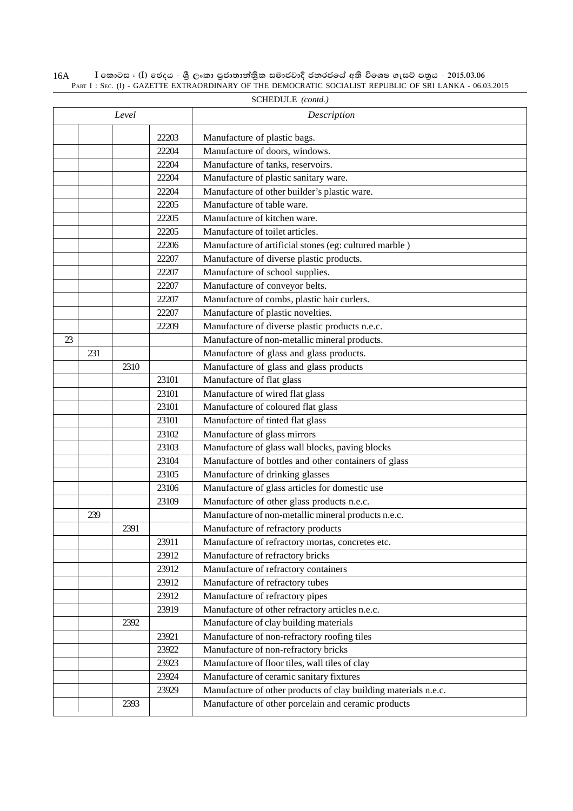|    |     |       |       | SCHEDULE ( <i>conta.)</i>                                       |
|----|-----|-------|-------|-----------------------------------------------------------------|
|    |     | Level |       | Description                                                     |
|    |     |       | 22203 | Manufacture of plastic bags.                                    |
|    |     |       | 22204 | Manufacture of doors, windows.                                  |
|    |     |       | 22204 | Manufacture of tanks, reservoirs.                               |
|    |     |       | 22204 | Manufacture of plastic sanitary ware.                           |
|    |     |       | 22204 | Manufacture of other builder's plastic ware.                    |
|    |     |       | 22205 | Manufacture of table ware.                                      |
|    |     |       | 22205 | Manufacture of kitchen ware.                                    |
|    |     |       | 22205 | Manufacture of toilet articles.                                 |
|    |     |       | 22206 | Manufacture of artificial stones (eg: cultured marble)          |
|    |     |       | 22207 | Manufacture of diverse plastic products.                        |
|    |     |       | 22207 | Manufacture of school supplies.                                 |
|    |     |       | 22207 | Manufacture of conveyor belts.                                  |
|    |     |       | 22207 | Manufacture of combs, plastic hair curlers.                     |
|    |     |       | 22207 | Manufacture of plastic novelties.                               |
|    |     |       | 22209 | Manufacture of diverse plastic products n.e.c.                  |
| 23 |     |       |       | Manufacture of non-metallic mineral products.                   |
|    | 231 |       |       | Manufacture of glass and glass products.                        |
|    |     | 2310  |       | Manufacture of glass and glass products                         |
|    |     |       | 23101 | Manufacture of flat glass                                       |
|    |     |       | 23101 | Manufacture of wired flat glass                                 |
|    |     |       | 23101 | Manufacture of coloured flat glass                              |
|    |     |       | 23101 | Manufacture of tinted flat glass                                |
|    |     |       | 23102 | Manufacture of glass mirrors                                    |
|    |     |       | 23103 | Manufacture of glass wall blocks, paving blocks                 |
|    |     |       | 23104 | Manufacture of bottles and other containers of glass            |
|    |     |       | 23105 | Manufacture of drinking glasses                                 |
|    |     |       | 23106 | Manufacture of glass articles for domestic use                  |
|    |     |       | 23109 | Manufacture of other glass products n.e.c.                      |
|    | 239 |       |       | Manufacture of non-metallic mineral products n.e.c.             |
|    |     | 2391  |       | Manufacture of refractory products                              |
|    |     |       | 23911 | Manufacture of refractory mortas, concretes etc.                |
|    |     |       | 23912 | Manufacture of refractory bricks                                |
|    |     |       | 23912 | Manufacture of refractory containers                            |
|    |     |       | 23912 | Manufacture of refractory tubes                                 |
|    |     |       | 23912 | Manufacture of refractory pipes                                 |
|    |     |       | 23919 | Manufacture of other refractory articles n.e.c.                 |
|    |     | 2392  |       | Manufacture of clay building materials                          |
|    |     |       | 23921 | Manufacture of non-refractory roofing tiles                     |
|    |     |       | 23922 | Manufacture of non-refractory bricks                            |
|    |     |       | 23923 | Manufacture of floor tiles, wall tiles of clay                  |
|    |     |       | 23924 | Manufacture of ceramic sanitary fixtures                        |
|    |     |       | 23929 | Manufacture of other products of clay building materials n.e.c. |
|    |     | 2393  |       | Manufacture of other porcelain and ceramic products             |
|    |     |       |       |                                                                 |

 $\rm I$  කොටස : ( $\rm I$ ) ඡෙදය - ශුී ලංකා පුජාතාන්තිුක සමාජවාදී ජනරජයේ අති විශෙෂ ගැසට් පතුය - 2015.03.06 PART I : SEC. (I) - GAZETTE EXTRAORDINARY OF THE DEMOCRATIC SOCIALIST REPUBLIC OF SRI LANKA - 06.03.2015 16A SCHEDULE *(contd.)*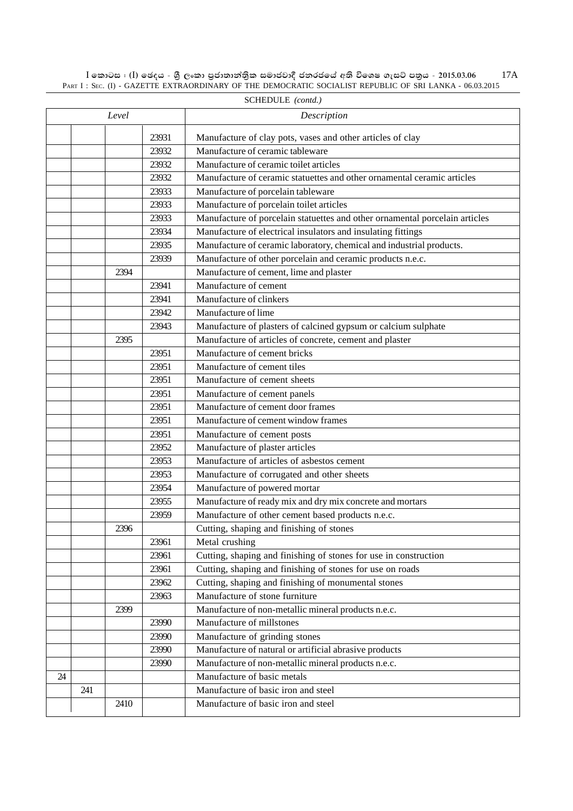$\rm I$  කොටස : ( $\rm I$ ) ඡෙදය - ශුී ලංකා පුජාතාන්තිුක සමාජවාදී ජනරජයේ අති විශෙෂ ගැසට් පතුය - 2015.03.06 PART I : SEC. (I) - GAZETTE EXTRAORDINARY OF THE DEMOCRATIC SOCIALIST REPUBLIC OF SRI LANKA - 06.03.2015 17A

|    |     | Level |       | Description                                                                 |
|----|-----|-------|-------|-----------------------------------------------------------------------------|
|    |     |       | 23931 | Manufacture of clay pots, vases and other articles of clay                  |
|    |     |       | 23932 | Manufacture of ceramic tableware                                            |
|    |     |       | 23932 | Manufacture of ceramic toilet articles                                      |
|    |     |       | 23932 | Manufacture of ceramic statuettes and other ornamental ceramic articles     |
|    |     |       | 23933 | Manufacture of porcelain tableware                                          |
|    |     |       | 23933 | Manufacture of porcelain toilet articles                                    |
|    |     |       | 23933 | Manufacture of porcelain statuettes and other ornamental porcelain articles |
|    |     |       | 23934 | Manufacture of electrical insulators and insulating fittings                |
|    |     |       | 23935 | Manufacture of ceramic laboratory, chemical and industrial products.        |
|    |     |       | 23939 | Manufacture of other porcelain and ceramic products n.e.c.                  |
|    |     | 2394  |       | Manufacture of cement, lime and plaster                                     |
|    |     |       | 23941 | Manufacture of cement                                                       |
|    |     |       | 23941 | Manufacture of clinkers                                                     |
|    |     |       | 23942 | Manufacture of lime                                                         |
|    |     |       | 23943 | Manufacture of plasters of calcined gypsum or calcium sulphate              |
|    |     | 2395  |       | Manufacture of articles of concrete, cement and plaster                     |
|    |     |       | 23951 | Manufacture of cement bricks                                                |
|    |     |       | 23951 | Manufacture of cement tiles                                                 |
|    |     |       | 23951 | Manufacture of cement sheets                                                |
|    |     |       | 23951 | Manufacture of cement panels                                                |
|    |     |       | 23951 | Manufacture of cement door frames                                           |
|    |     |       | 23951 | Manufacture of cement window frames                                         |
|    |     |       | 23951 | Manufacture of cement posts                                                 |
|    |     |       | 23952 | Manufacture of plaster articles                                             |
|    |     |       | 23953 | Manufacture of articles of asbestos cement                                  |
|    |     |       | 23953 | Manufacture of corrugated and other sheets                                  |
|    |     |       | 23954 | Manufacture of powered mortar                                               |
|    |     |       | 23955 | Manufacture of ready mix and dry mix concrete and mortars                   |
|    |     |       | 23959 | Manufacture of other cement based products n.e.c.                           |
|    |     | 2396  |       | Cutting, shaping and finishing of stones                                    |
|    |     |       | 23961 | Metal crushing                                                              |
|    |     |       | 23961 | Cutting, shaping and finishing of stones for use in construction            |
|    |     |       | 23961 | Cutting, shaping and finishing of stones for use on roads                   |
|    |     |       | 23962 | Cutting, shaping and finishing of monumental stones                         |
|    |     |       | 23963 | Manufacture of stone furniture                                              |
|    |     | 2399  |       | Manufacture of non-metallic mineral products n.e.c.                         |
|    |     |       | 23990 | Manufacture of millstones                                                   |
|    |     |       | 23990 | Manufacture of grinding stones                                              |
|    |     |       | 23990 | Manufacture of natural or artificial abrasive products                      |
|    |     |       | 23990 | Manufacture of non-metallic mineral products n.e.c.                         |
| 24 |     |       |       | Manufacture of basic metals                                                 |
|    | 241 |       |       | Manufacture of basic iron and steel                                         |
|    |     | 2410  |       | Manufacture of basic iron and steel                                         |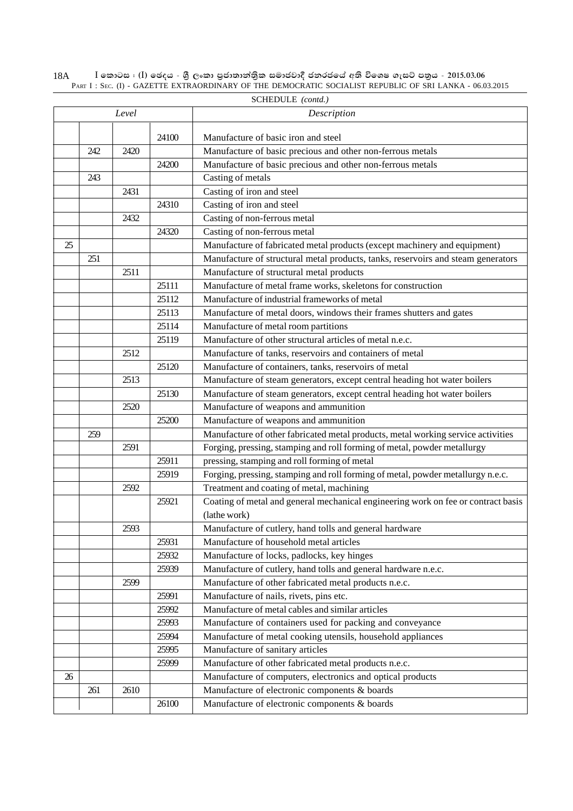$\rm I$  කොටස : ( $\rm I$ ) ඡෙදය - ශුී ලංකා පුජාතාන්තිුක සමාජවාදී ජනරජයේ අති විශෙෂ ගැසට් පතුය - 2015.03.06 PART I : SEC. (I) - GAZETTE EXTRAORDINARY OF THE DEMOCRATIC SOCIALIST REPUBLIC OF SRI LANKA - 06.03.2015 18A

|    |     | Level |       | Description                                                                       |
|----|-----|-------|-------|-----------------------------------------------------------------------------------|
|    |     |       | 24100 | Manufacture of basic iron and steel                                               |
|    | 242 | 2420  |       | Manufacture of basic precious and other non-ferrous metals                        |
|    |     |       | 24200 | Manufacture of basic precious and other non-ferrous metals                        |
|    | 243 |       |       |                                                                                   |
|    |     |       |       | Casting of metals                                                                 |
|    |     | 2431  | 24310 | Casting of iron and steel                                                         |
|    |     |       |       | Casting of iron and steel<br>Casting of non-ferrous metal                         |
|    |     | 2432  |       |                                                                                   |
|    |     |       | 24320 | Casting of non-ferrous metal                                                      |
| 25 |     |       |       | Manufacture of fabricated metal products (except machinery and equipment)         |
|    | 251 |       |       | Manufacture of structural metal products, tanks, reservoirs and steam generators  |
|    |     | 2511  |       | Manufacture of structural metal products                                          |
|    |     |       | 25111 | Manufacture of metal frame works, skeletons for construction                      |
|    |     |       | 25112 | Manufacture of industrial frameworks of metal                                     |
|    |     |       | 25113 | Manufacture of metal doors, windows their frames shutters and gates               |
|    |     |       | 25114 | Manufacture of metal room partitions                                              |
|    |     |       | 25119 | Manufacture of other structural articles of metal n.e.c.                          |
|    |     | 2512  |       | Manufacture of tanks, reservoirs and containers of metal                          |
|    |     |       | 25120 | Manufacture of containers, tanks, reservoirs of metal                             |
|    |     | 2513  |       | Manufacture of steam generators, except central heading hot water boilers         |
|    |     |       | 25130 | Manufacture of steam generators, except central heading hot water boilers         |
|    |     | 2520  |       | Manufacture of weapons and ammunition                                             |
|    |     |       | 25200 | Manufacture of weapons and ammunition                                             |
|    | 259 |       |       | Manufacture of other fabricated metal products, metal working service activities  |
|    |     | 2591  |       | Forging, pressing, stamping and roll forming of metal, powder metallurgy          |
|    |     |       | 25911 | pressing, stamping and roll forming of metal                                      |
|    |     |       | 25919 | Forging, pressing, stamping and roll forming of metal, powder metallurgy n.e.c.   |
|    |     | 2592  |       | Treatment and coating of metal, machining                                         |
|    |     |       | 25921 | Coating of metal and general mechanical engineering work on fee or contract basis |
|    |     |       |       | (lathe work)                                                                      |
|    |     | 2593  |       | Manufacture of cutlery, hand tolls and general hardware                           |
|    |     |       | 25931 | Manufacture of household metal articles                                           |
|    |     |       | 25932 | Manufacture of locks, padlocks, key hinges                                        |
|    |     |       | 25939 | Manufacture of cutlery, hand tolls and general hardware n.e.c.                    |
|    |     | 2599  |       | Manufacture of other fabricated metal products n.e.c.                             |
|    |     |       | 25991 | Manufacture of nails, rivets, pins etc.                                           |
|    |     |       | 25992 | Manufacture of metal cables and similar articles                                  |
|    |     |       | 25993 | Manufacture of containers used for packing and conveyance                         |
|    |     |       | 25994 | Manufacture of metal cooking utensils, household appliances                       |
|    |     |       | 25995 | Manufacture of sanitary articles                                                  |
|    |     |       | 25999 | Manufacture of other fabricated metal products n.e.c.                             |
| 26 |     |       |       | Manufacture of computers, electronics and optical products                        |
|    | 261 | 2610  |       | Manufacture of electronic components & boards                                     |
|    |     |       | 26100 | Manufacture of electronic components & boards                                     |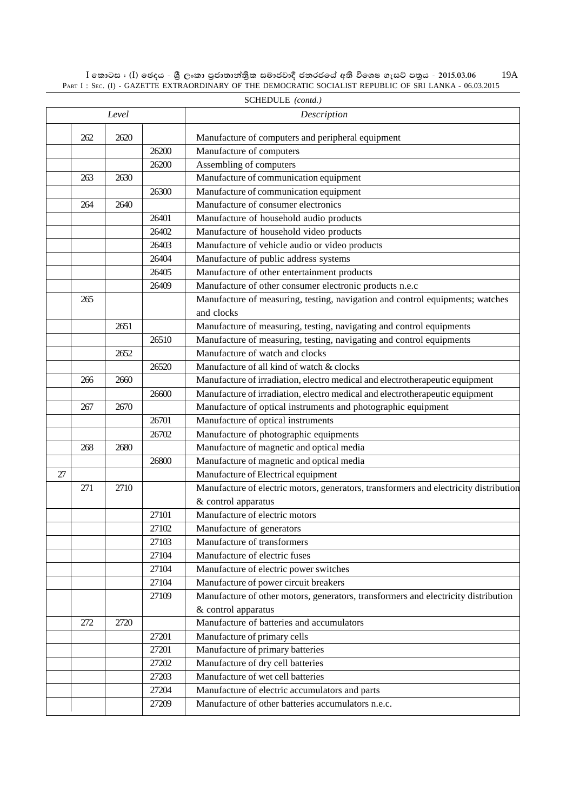$\rm I$  කොටස : ( $\rm I$ ) ඡෙදය - ශුී ලංකා පුජාතාන්තිුක සමාජවාදී ජනරජයේ අති විශෙෂ ගැසට් පතුය - 2015.03.06 PART I : SEC. (I) - GAZETTE EXTRAORDINARY OF THE DEMOCRATIC SOCIALIST REPUBLIC OF SRI LANKA - 06.03.2015 19A

|    |     | Level |       | Description                                                                           |
|----|-----|-------|-------|---------------------------------------------------------------------------------------|
|    | 262 | 2620  |       | Manufacture of computers and peripheral equipment                                     |
|    |     |       | 26200 | Manufacture of computers                                                              |
|    |     |       | 26200 | Assembling of computers                                                               |
|    | 263 | 2630  |       | Manufacture of communication equipment                                                |
|    |     |       | 26300 | Manufacture of communication equipment                                                |
|    | 264 | 2640  |       | Manufacture of consumer electronics                                                   |
|    |     |       | 26401 | Manufacture of household audio products                                               |
|    |     |       | 26402 | Manufacture of household video products                                               |
|    |     |       | 26403 | Manufacture of vehicle audio or video products                                        |
|    |     |       | 26404 | Manufacture of public address systems                                                 |
|    |     |       | 26405 | Manufacture of other entertainment products                                           |
|    |     |       | 26409 | Manufacture of other consumer electronic products n.e.c                               |
|    | 265 |       |       | Manufacture of measuring, testing, navigation and control equipments; watches         |
|    |     |       |       | and clocks                                                                            |
|    |     | 2651  |       | Manufacture of measuring, testing, navigating and control equipments                  |
|    |     |       | 26510 | Manufacture of measuring, testing, navigating and control equipments                  |
|    |     | 2652  |       | Manufacture of watch and clocks                                                       |
|    |     |       | 26520 | Manufacture of all kind of watch & clocks                                             |
|    | 266 | 2660  |       | Manufacture of irradiation, electro medical and electrotherapeutic equipment          |
|    |     |       | 26600 | Manufacture of irradiation, electro medical and electrotherapeutic equipment          |
|    | 267 | 2670  |       | Manufacture of optical instruments and photographic equipment                         |
|    |     |       | 26701 | Manufacture of optical instruments                                                    |
|    |     |       | 26702 | Manufacture of photographic equipments                                                |
|    | 268 | 2680  |       | Manufacture of magnetic and optical media                                             |
|    |     |       | 26800 | Manufacture of magnetic and optical media                                             |
| 27 |     |       |       | Manufacture of Electrical equipment                                                   |
|    | 271 | 2710  |       | Manufacture of electric motors, generators, transformers and electricity distribution |
|    |     |       |       | & control apparatus                                                                   |
|    |     |       | 27101 | Manufacture of electric motors                                                        |
|    |     |       | 27102 | Manufacture of generators                                                             |
|    |     |       | 27103 | Manufacture of transformers                                                           |
|    |     |       | 27104 | Manufacture of electric fuses                                                         |
|    |     |       | 27104 | Manufacture of electric power switches                                                |
|    |     |       | 27104 | Manufacture of power circuit breakers                                                 |
|    |     |       | 27109 | Manufacture of other motors, generators, transformers and electricity distribution    |
|    |     |       |       | & control apparatus                                                                   |
|    | 272 | 2720  |       | Manufacture of batteries and accumulators                                             |
|    |     |       | 27201 | Manufacture of primary cells                                                          |
|    |     |       | 27201 | Manufacture of primary batteries                                                      |
|    |     |       | 27202 | Manufacture of dry cell batteries                                                     |
|    |     |       | 27203 | Manufacture of wet cell batteries                                                     |
|    |     |       | 27204 | Manufacture of electric accumulators and parts                                        |
|    |     |       | 27209 | Manufacture of other batteries accumulators n.e.c.                                    |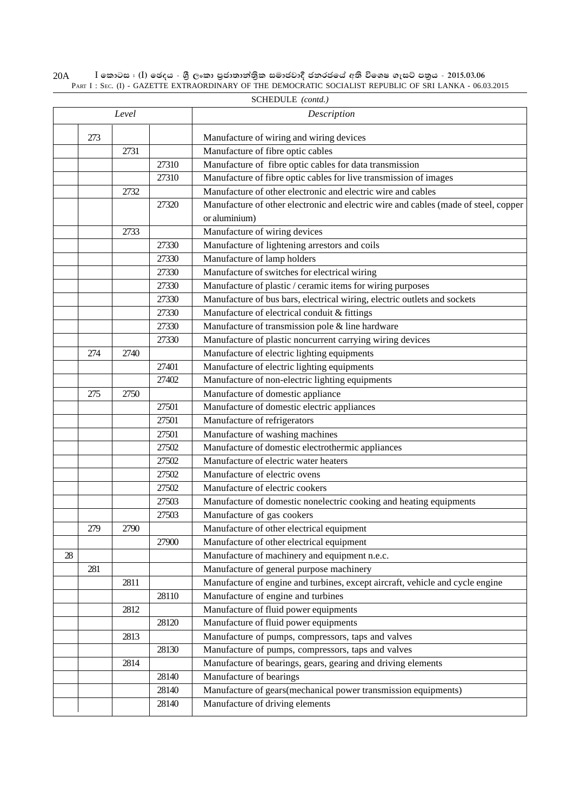$\rm I$  කොටස : ( $\rm I$ ) ඡෙදය - ශුී ලංකා පුජාතාන්තිුක සමාජවාදී ජනරජයේ අති විශෙෂ ගැසට් පතුය - 2015.03.06 PART I : SEC. (I) - GAZETTE EXTRAORDINARY OF THE DEMOCRATIC SOCIALIST REPUBLIC OF SRI LANKA - 06.03.2015 20A

|    |     | Level |       | Description                                                                         |
|----|-----|-------|-------|-------------------------------------------------------------------------------------|
|    | 273 |       |       | Manufacture of wiring and wiring devices                                            |
|    |     | 2731  |       | Manufacture of fibre optic cables                                                   |
|    |     |       | 27310 | Manufacture of fibre optic cables for data transmission                             |
|    |     |       | 27310 | Manufacture of fibre optic cables for live transmission of images                   |
|    |     | 2732  |       | Manufacture of other electronic and electric wire and cables                        |
|    |     |       | 27320 | Manufacture of other electronic and electric wire and cables (made of steel, copper |
|    |     |       |       | or aluminium)                                                                       |
|    |     | 2733  |       | Manufacture of wiring devices                                                       |
|    |     |       | 27330 | Manufacture of lightening arrestors and coils                                       |
|    |     |       | 27330 | Manufacture of lamp holders                                                         |
|    |     |       | 27330 | Manufacture of switches for electrical wiring                                       |
|    |     |       | 27330 | Manufacture of plastic / ceramic items for wiring purposes                          |
|    |     |       | 27330 | Manufacture of bus bars, electrical wiring, electric outlets and sockets            |
|    |     |       | 27330 | Manufacture of electrical conduit & fittings                                        |
|    |     |       | 27330 | Manufacture of transmission pole & line hardware                                    |
|    |     |       | 27330 | Manufacture of plastic noncurrent carrying wiring devices                           |
|    | 274 | 2740  |       | Manufacture of electric lighting equipments                                         |
|    |     |       | 27401 | Manufacture of electric lighting equipments                                         |
|    |     |       | 27402 | Manufacture of non-electric lighting equipments                                     |
|    | 275 | 2750  |       | Manufacture of domestic appliance                                                   |
|    |     |       | 27501 | Manufacture of domestic electric appliances                                         |
|    |     |       | 27501 | Manufacture of refrigerators                                                        |
|    |     |       | 27501 | Manufacture of washing machines                                                     |
|    |     |       | 27502 | Manufacture of domestic electrothermic appliances                                   |
|    |     |       | 27502 | Manufacture of electric water heaters                                               |
|    |     |       | 27502 | Manufacture of electric ovens                                                       |
|    |     |       | 27502 | Manufacture of electric cookers                                                     |
|    |     |       | 27503 | Manufacture of domestic nonelectric cooking and heating equipments                  |
|    |     |       | 27503 | Manufacture of gas cookers                                                          |
|    | 279 | 2790  |       | Manufacture of other electrical equipment                                           |
|    |     |       | 27900 | Manufacture of other electrical equipment                                           |
| 28 |     |       |       | Manufacture of machinery and equipment n.e.c.                                       |
|    | 281 |       |       | Manufacture of general purpose machinery                                            |
|    |     | 2811  |       | Manufacture of engine and turbines, except aircraft, vehicle and cycle engine       |
|    |     |       | 28110 | Manufacture of engine and turbines                                                  |
|    |     | 2812  |       | Manufacture of fluid power equipments                                               |
|    |     |       | 28120 | Manufacture of fluid power equipments                                               |
|    |     | 2813  |       | Manufacture of pumps, compressors, taps and valves                                  |
|    |     |       | 28130 | Manufacture of pumps, compressors, taps and valves                                  |
|    |     | 2814  |       | Manufacture of bearings, gears, gearing and driving elements                        |
|    |     |       | 28140 | Manufacture of bearings                                                             |
|    |     |       | 28140 | Manufacture of gears(mechanical power transmission equipments)                      |
|    |     |       | 28140 | Manufacture of driving elements                                                     |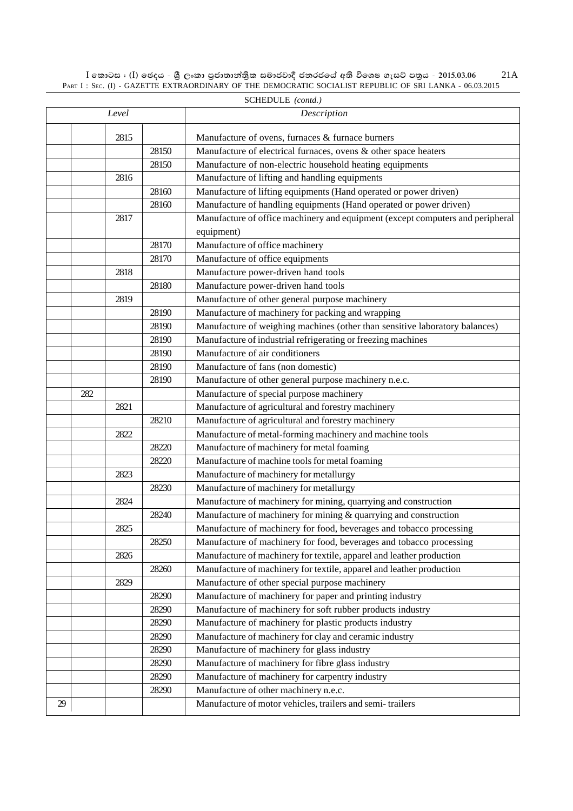$\rm I$  කොටස : ( $\rm I$ ) ඡෙදය - ශුී ලංකා පුජාතාන්තිුක සමාජවාදී ජනරජයේ අති විශෙෂ ගැසට් පතුය - 2015.03.06 PART I : SEC. (I) - GAZETTE EXTRAORDINARY OF THE DEMOCRATIC SOCIALIST REPUBLIC OF SRI LANKA - 06.03.2015 21A

|    |     |       |       | SCHEDULE (contd.)                                                              |
|----|-----|-------|-------|--------------------------------------------------------------------------------|
|    |     | Level |       | Description                                                                    |
|    |     | 2815  |       | Manufacture of ovens, furnaces & furnace burners                               |
|    |     |       | 28150 | Manufacture of electrical furnaces, ovens & other space heaters                |
|    |     |       | 28150 | Manufacture of non-electric household heating equipments                       |
|    |     | 2816  |       | Manufacture of lifting and handling equipments                                 |
|    |     |       | 28160 | Manufacture of lifting equipments (Hand operated or power driven)              |
|    |     |       | 28160 | Manufacture of handling equipments (Hand operated or power driven)             |
|    |     | 2817  |       | Manufacture of office machinery and equipment (except computers and peripheral |
|    |     |       |       | equipment)                                                                     |
|    |     |       | 28170 | Manufacture of office machinery                                                |
|    |     |       | 28170 | Manufacture of office equipments                                               |
|    |     | 2818  |       | Manufacture power-driven hand tools                                            |
|    |     |       | 28180 | Manufacture power-driven hand tools                                            |
|    |     | 2819  |       | Manufacture of other general purpose machinery                                 |
|    |     |       | 28190 | Manufacture of machinery for packing and wrapping                              |
|    |     |       | 28190 | Manufacture of weighing machines (other than sensitive laboratory balances)    |
|    |     |       | 28190 | Manufacture of industrial refrigerating or freezing machines                   |
|    |     |       | 28190 | Manufacture of air conditioners                                                |
|    |     |       | 28190 | Manufacture of fans (non domestic)                                             |
|    |     |       | 28190 | Manufacture of other general purpose machinery n.e.c.                          |
|    | 282 |       |       | Manufacture of special purpose machinery                                       |
|    |     | 2821  |       | Manufacture of agricultural and forestry machinery                             |
|    |     |       | 28210 | Manufacture of agricultural and forestry machinery                             |
|    |     | 2822  |       | Manufacture of metal-forming machinery and machine tools                       |
|    |     |       | 28220 | Manufacture of machinery for metal foaming                                     |
|    |     |       | 28220 | Manufacture of machine tools for metal foaming                                 |
|    |     | 2823  |       | Manufacture of machinery for metallurgy                                        |
|    |     |       | 28230 | Manufacture of machinery for metallurgy                                        |
|    |     | 2824  |       | Manufacture of machinery for mining, quarrying and construction                |
|    |     |       | 28240 | Manufacture of machinery for mining & quarrying and construction               |
|    |     | 2825  |       | Manufacture of machinery for food, beverages and tobacco processing            |
|    |     |       | 28250 | Manufacture of machinery for food, beverages and tobacco processing            |
|    |     | 2826  |       | Manufacture of machinery for textile, apparel and leather production           |
|    |     |       | 28260 | Manufacture of machinery for textile, apparel and leather production           |
|    |     | 2829  |       | Manufacture of other special purpose machinery                                 |
|    |     |       | 28290 | Manufacture of machinery for paper and printing industry                       |
|    |     |       | 28290 | Manufacture of machinery for soft rubber products industry                     |
|    |     |       | 28290 | Manufacture of machinery for plastic products industry                         |
|    |     |       | 28290 | Manufacture of machinery for clay and ceramic industry                         |
|    |     |       | 28290 | Manufacture of machinery for glass industry                                    |
|    |     |       | 28290 | Manufacture of machinery for fibre glass industry                              |
|    |     |       | 28290 | Manufacture of machinery for carpentry industry                                |
|    |     |       | 28290 | Manufacture of other machinery n.e.c.                                          |
| 29 |     |       |       | Manufacture of motor vehicles, trailers and semi-trailers                      |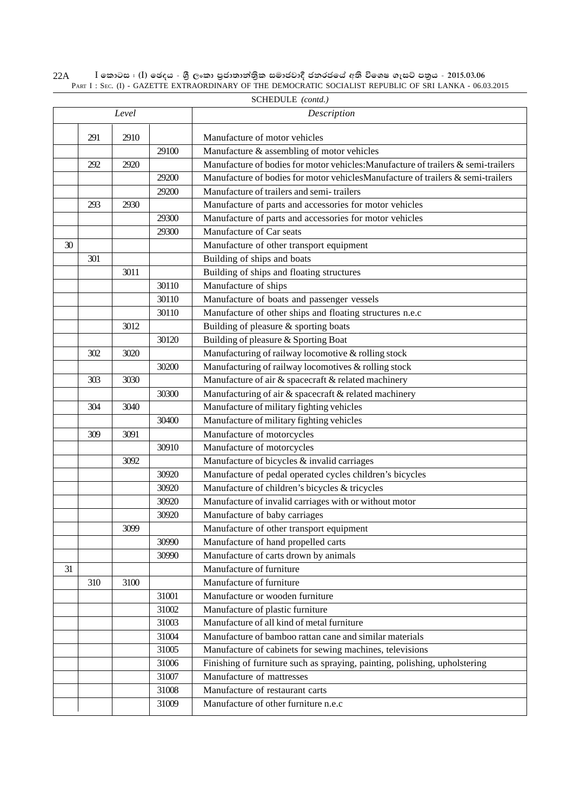$\rm I$  කොටස : ( $\rm I$ ) ඡෙදය - ශුී ලංකා පුජාතාන්තිුක සමාජවාදී ජනරජයේ අති විශෙෂ ගැසට් පතුය - 2015.03.06 PART I : SEC. (I) - GAZETTE EXTRAORDINARY OF THE DEMOCRATIC SOCIALIST REPUBLIC OF SRI LANKA - 06.03.2015 22A

| Level |     |      |       | Description                                                                       |
|-------|-----|------|-------|-----------------------------------------------------------------------------------|
|       |     |      |       |                                                                                   |
|       | 291 | 2910 |       | Manufacture of motor vehicles                                                     |
|       |     |      | 29100 | Manufacture & assembling of motor vehicles                                        |
|       | 292 | 2920 |       | Manufacture of bodies for motor vehicles: Manufacture of trailers & semi-trailers |
|       |     |      | 29200 | Manufacture of bodies for motor vehiclesManufacture of trailers & semi-trailers   |
|       |     |      | 29200 | Manufacture of trailers and semi-trailers                                         |
|       | 293 | 2930 |       | Manufacture of parts and accessories for motor vehicles                           |
|       |     |      | 29300 | Manufacture of parts and accessories for motor vehicles                           |
|       |     |      | 29300 | Manufacture of Car seats                                                          |
| 30    |     |      |       | Manufacture of other transport equipment                                          |
|       | 301 |      |       | Building of ships and boats                                                       |
|       |     | 3011 |       | Building of ships and floating structures                                         |
|       |     |      | 30110 | Manufacture of ships                                                              |
|       |     |      | 30110 | Manufacture of boats and passenger vessels                                        |
|       |     |      | 30110 | Manufacture of other ships and floating structures n.e.c                          |
|       |     | 3012 |       | Building of pleasure & sporting boats                                             |
|       |     |      | 30120 | Building of pleasure & Sporting Boat                                              |
|       | 302 | 3020 |       | Manufacturing of railway locomotive & rolling stock                               |
|       |     |      | 30200 | Manufacturing of railway locomotives & rolling stock                              |
|       | 303 | 3030 |       | Manufacture of air & spacecraft & related machinery                               |
|       |     |      | 30300 | Manufacturing of air & spacecraft & related machinery                             |
|       | 304 | 3040 |       | Manufacture of military fighting vehicles                                         |
|       |     |      | 30400 | Manufacture of military fighting vehicles                                         |
|       | 309 | 3091 |       | Manufacture of motorcycles                                                        |
|       |     |      | 30910 | Manufacture of motorcycles                                                        |
|       |     | 3092 |       | Manufacture of bicycles & invalid carriages                                       |
|       |     |      | 30920 | Manufacture of pedal operated cycles children's bicycles                          |
|       |     |      | 30920 | Manufacture of children's bicycles & tricycles                                    |
|       |     |      | 30920 | Manufacture of invalid carriages with or without motor                            |
|       |     |      | 30920 | Manufacture of baby carriages                                                     |
|       |     | 3099 |       | Manufacture of other transport equipment                                          |
|       |     |      | 30990 | Manufacture of hand propelled carts                                               |
|       |     |      | 30990 | Manufacture of carts drown by animals                                             |
| 31    |     |      |       | Manufacture of furniture                                                          |
|       | 310 | 3100 |       | Manufacture of furniture                                                          |
|       |     |      | 31001 | Manufacture or wooden furniture                                                   |
|       |     |      | 31002 | Manufacture of plastic furniture                                                  |
|       |     |      | 31003 | Manufacture of all kind of metal furniture                                        |
|       |     |      | 31004 | Manufacture of bamboo rattan cane and similar materials                           |
|       |     |      | 31005 | Manufacture of cabinets for sewing machines, televisions                          |
|       |     |      | 31006 | Finishing of furniture such as spraying, painting, polishing, upholstering        |
|       |     |      | 31007 | Manufacture of mattresses                                                         |
|       |     |      |       | Manufacture of restaurant carts                                                   |
|       |     |      | 31008 |                                                                                   |
|       |     |      | 31009 | Manufacture of other furniture n.e.c                                              |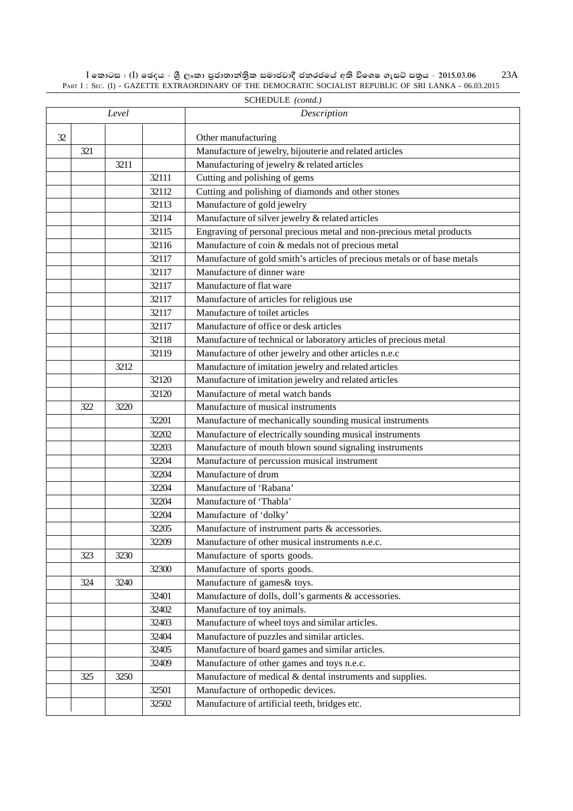SCHEDULE *(contd.)* 32 | **C** | Other manufacturing 321 Manufacture of jewelry, bijouterie and related articles 3211 Manufacturing of jewelry & related articles 32111 Cutting and polishing of gems 32112 Cutting and polishing of diamonds and other stones Manufacture of gold jewelry Manufacture of silver jewelry & related articles Engraving of personal precious metal and non-precious metal products Manufacture of coin & medals not of precious metal Manufacture of gold smith's articles of precious metals or of base metals Manufacture of dinner ware Manufacture of flat ware Manufacture of articles for religious use Manufacture of toilet articles Manufacture of office or desk articles Manufacture of technical or laboratory articles of precious metal Manufacture of other jewelry and other articles n.e.c Manufacture of imitation jewelry and related articles Manufacture of imitation jewelry and related articles Manufacture of metal watch bands 322 3220 Manufacture of musical instruments Manufacture of mechanically sounding musical instruments Manufacture of electrically sounding musical instruments Manufacture of mouth blown sound signaling instruments Manufacture of percussion musical instrument Manufacture of drum Manufacture of 'Rabana' Manufacture of 'Thabla' Manufacture of 'dolky' Manufacture of instrument parts & accessories. Manufacture of other musical instruments n.e.c. 323 3230 Manufacture of sports goods. Manufacture of sports goods. 324 3240 Manufacture of games & toys. Manufacture of dolls, doll's garments & accessories. Manufacture of toy animals. Manufacture of wheel toys and similar articles. Manufacture of puzzles and similar articles. Manufacture of board games and similar articles. Manufacture of other games and toys n.e.c. 325 3250 Manufacture of medical & dental instruments and supplies. Manufacture of orthopedic devices. Manufacture of artificial teeth, bridges etc. *Level Description*

 $I$  කොටස : (I) ඡෙදය - ශීූ ලංකා පුජාතාන්තිුක සමාජවාදී ජනරජයේ අති විශෙෂ ගැසට් පනුය - 2015.03.06 PART I: SEC. (I) - GAZETTE EXTRAORDINARY OF THE DEMOCRATIC SOCIALIST REPUBLIC OF SRI LANKA - 06.03.2015 23A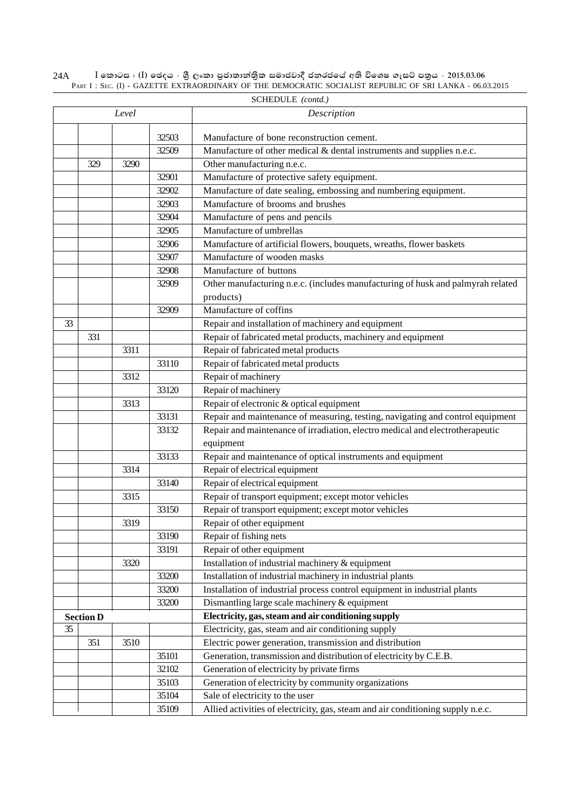$\rm I$  කොටස : ( $\rm I$ ) ඡෙදය - ශුී ලංකා පුජාතාන්තිුක සමාජවාදී ජනරජයේ අති විශෙෂ ගැසට් පතුය - 2015.03.06 PART I : SEC. (I) - GAZETTE EXTRAORDINARY OF THE DEMOCRATIC SOCIALIST REPUBLIC OF SRI LANKA - 06.03.2015 24A

|    |                  | Level |       | Description                                                                     |
|----|------------------|-------|-------|---------------------------------------------------------------------------------|
|    |                  |       |       |                                                                                 |
|    |                  |       | 32503 | Manufacture of bone reconstruction cement.                                      |
|    |                  |       | 32509 | Manufacture of other medical & dental instruments and supplies n.e.c.           |
|    | 329              | 3290  |       | Other manufacturing n.e.c.                                                      |
|    |                  |       | 32901 | Manufacture of protective safety equipment.                                     |
|    |                  |       | 32902 | Manufacture of date sealing, embossing and numbering equipment.                 |
|    |                  |       | 32903 | Manufacture of brooms and brushes                                               |
|    |                  |       | 32904 | Manufacture of pens and pencils                                                 |
|    |                  |       | 32905 | Manufacture of umbrellas                                                        |
|    |                  |       | 32906 | Manufacture of artificial flowers, bouquets, wreaths, flower baskets            |
|    |                  |       | 32907 | Manufacture of wooden masks                                                     |
|    |                  |       | 32908 | Manufacture of buttons                                                          |
|    |                  |       | 32909 | Other manufacturing n.e.c. (includes manufacturing of husk and palmyrah related |
|    |                  |       |       | products)                                                                       |
|    |                  |       | 32909 | Manufacture of coffins                                                          |
| 33 |                  |       |       | Repair and installation of machinery and equipment                              |
|    | 331              |       |       | Repair of fabricated metal products, machinery and equipment                    |
|    |                  | 3311  |       | Repair of fabricated metal products                                             |
|    |                  |       | 33110 | Repair of fabricated metal products                                             |
|    |                  | 3312  |       | Repair of machinery                                                             |
|    |                  |       | 33120 | Repair of machinery                                                             |
|    |                  | 3313  |       | Repair of electronic & optical equipment                                        |
|    |                  |       | 33131 | Repair and maintenance of measuring, testing, navigating and control equipment  |
|    |                  |       | 33132 | Repair and maintenance of irradiation, electro medical and electrotherapeutic   |
|    |                  |       |       | equipment                                                                       |
|    |                  |       | 33133 | Repair and maintenance of optical instruments and equipment                     |
|    |                  | 3314  |       | Repair of electrical equipment                                                  |
|    |                  |       | 33140 | Repair of electrical equipment                                                  |
|    |                  | 3315  |       | Repair of transport equipment; except motor vehicles                            |
|    |                  |       | 33150 | Repair of transport equipment; except motor vehicles                            |
|    |                  | 3319  |       | Repair of other equipment                                                       |
|    |                  |       | 33190 | Repair of fishing nets                                                          |
|    |                  |       | 33191 | Repair of other equipment                                                       |
|    |                  | 3320  |       | Installation of industrial machinery & equipment                                |
|    |                  |       | 33200 | Installation of industrial machinery in industrial plants                       |
|    |                  |       | 33200 | Installation of industrial process control equipment in industrial plants       |
|    |                  |       | 33200 | Dismantling large scale machinery & equipment                                   |
|    | <b>Section D</b> |       |       | Electricity, gas, steam and air conditioning supply                             |
| 35 |                  |       |       | Electricity, gas, steam and air conditioning supply                             |
|    | 351              | 3510  |       | Electric power generation, transmission and distribution                        |
|    |                  |       | 35101 | Generation, transmission and distribution of electricity by C.E.B.              |
|    |                  |       | 32102 | Generation of electricity by private firms                                      |
|    |                  |       | 35103 | Generation of electricity by community organizations                            |
|    |                  |       | 35104 | Sale of electricity to the user                                                 |
|    |                  |       | 35109 | Allied activities of electricity, gas, steam and air conditioning supply n.e.c. |